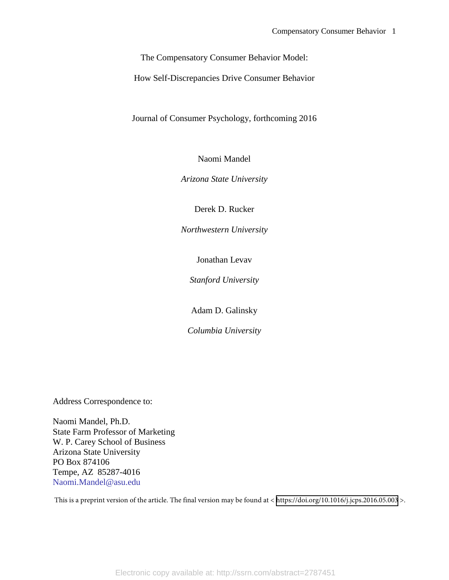The Compensatory Consumer Behavior Model:

How Self-Discrepancies Drive Consumer Behavior

Journal of Consumer Psychology, forthcoming 2016

Naomi Mandel

*Arizona State University*

Derek D. Rucker

*Northwestern University*

Jonathan Levav

*Stanford University*

Adam D. Galinsky

*Columbia University*

Address Correspondence to:

Naomi Mandel, Ph.D. State Farm Professor of Marketing W. P. Carey School of Business Arizona State University PO Box 874106 Tempe, AZ 85287-4016 [Naomi.Mandel@asu.edu](mailto:Naomi.Mandel@asu.edu)

This is a preprint version of the article. The final version may be found at < <https://doi.org/10.1016/j.jcps.2016.05.003> >.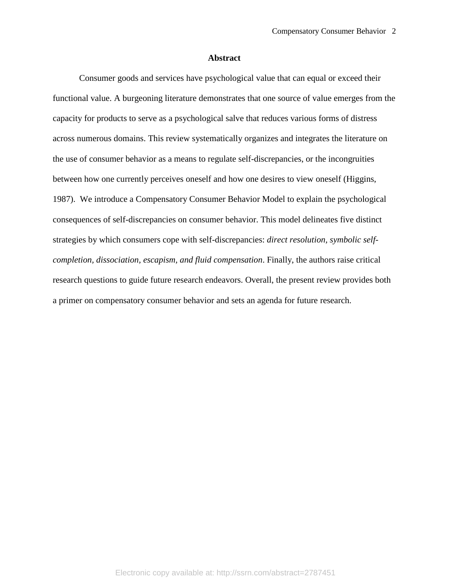#### **Abstract**

Consumer goods and services have psychological value that can equal or exceed their functional value. A burgeoning literature demonstrates that one source of value emerges from the capacity for products to serve as a psychological salve that reduces various forms of distress across numerous domains. This review systematically organizes and integrates the literature on the use of consumer behavior as a means to regulate self-discrepancies, or the incongruities between how one currently perceives oneself and how one desires to view oneself (Higgins, 1987). We introduce a Compensatory Consumer Behavior Model to explain the psychological consequences of self-discrepancies on consumer behavior. This model delineates five distinct strategies by which consumers cope with self-discrepancies: *direct resolution, symbolic selfcompletion, dissociation, escapism, and fluid compensation*. Finally, the authors raise critical research questions to guide future research endeavors. Overall, the present review provides both a primer on compensatory consumer behavior and sets an agenda for future research.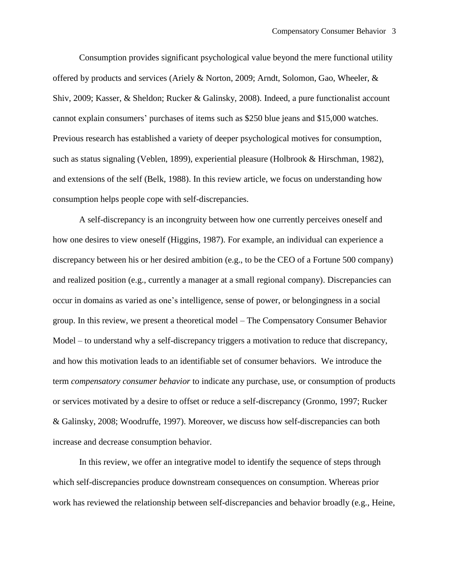Consumption provides significant psychological value beyond the mere functional utility offered by products and services (Ariely & Norton, 2009; Arndt, Solomon, Gao, Wheeler, & Shiv, 2009; Kasser, & Sheldon; Rucker & Galinsky, 2008). Indeed, a pure functionalist account cannot explain consumers' purchases of items such as \$250 blue jeans and \$15,000 watches. Previous research has established a variety of deeper psychological motives for consumption, such as status signaling (Veblen, 1899), experiential pleasure (Holbrook & Hirschman, 1982), and extensions of the self (Belk, 1988). In this review article, we focus on understanding how consumption helps people cope with self-discrepancies.

A self-discrepancy is an incongruity between how one currently perceives oneself and how one desires to view oneself (Higgins, 1987). For example, an individual can experience a discrepancy between his or her desired ambition (e.g., to be the CEO of a Fortune 500 company) and realized position (e.g., currently a manager at a small regional company). Discrepancies can occur in domains as varied as one's intelligence, sense of power, or belongingness in a social group. In this review, we present a theoretical model – The Compensatory Consumer Behavior Model – to understand why a self-discrepancy triggers a motivation to reduce that discrepancy, and how this motivation leads to an identifiable set of consumer behaviors. We introduce the term *compensatory consumer behavior* to indicate any purchase, use, or consumption of products or services motivated by a desire to offset or reduce a self-discrepancy (Gronmo, 1997; Rucker & Galinsky, 2008; Woodruffe, 1997). Moreover, we discuss how self-discrepancies can both increase and decrease consumption behavior.

In this review, we offer an integrative model to identify the sequence of steps through which self-discrepancies produce downstream consequences on consumption. Whereas prior work has reviewed the relationship between self-discrepancies and behavior broadly (e.g., Heine,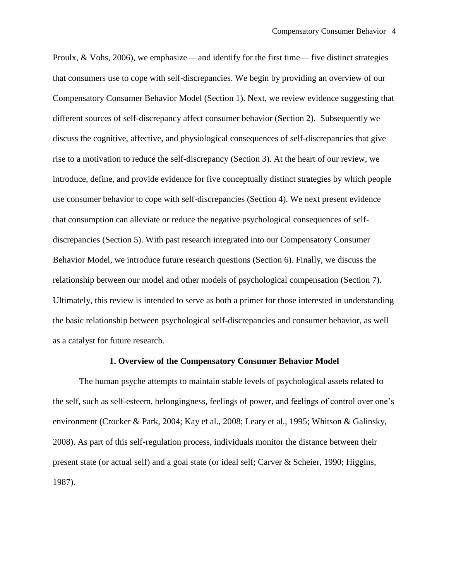Proulx, & Vohs, 2006), we emphasize— and identify for the first time— five distinct strategies that consumers use to cope with self-discrepancies. We begin by providing an overview of our Compensatory Consumer Behavior Model (Section 1). Next, we review evidence suggesting that different sources of self-discrepancy affect consumer behavior (Section 2). Subsequently we discuss the cognitive, affective, and physiological consequences of self-discrepancies that give rise to a motivation to reduce the self-discrepancy (Section 3). At the heart of our review, we introduce, define, and provide evidence for five conceptually distinct strategies by which people use consumer behavior to cope with self-discrepancies (Section 4). We next present evidence that consumption can alleviate or reduce the negative psychological consequences of selfdiscrepancies (Section 5). With past research integrated into our Compensatory Consumer Behavior Model, we introduce future research questions (Section 6). Finally, we discuss the relationship between our model and other models of psychological compensation (Section 7). Ultimately, this review is intended to serve as both a primer for those interested in understanding the basic relationship between psychological self-discrepancies and consumer behavior, as well as a catalyst for future research.

#### **1. Overview of the Compensatory Consumer Behavior Model**

The human psyche attempts to maintain stable levels of psychological assets related to the self, such as self-esteem, belongingness, feelings of power, and feelings of control over one's environment (Crocker & Park, 2004; Kay et al., 2008; Leary et al., 1995; Whitson & Galinsky, 2008). As part of this self-regulation process, individuals monitor the distance between their present state (or actual self) and a goal state (or ideal self; Carver & Scheier, 1990; Higgins, 1987).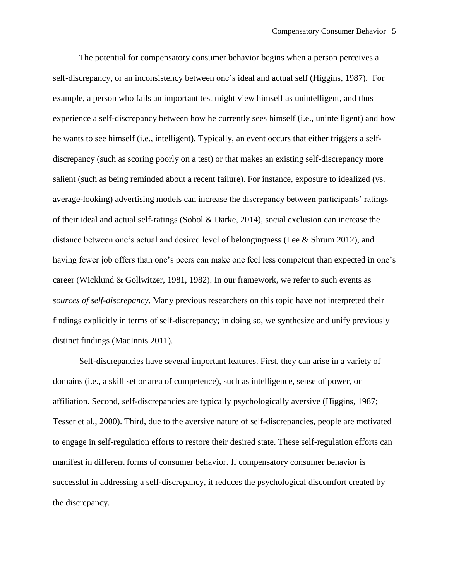The potential for compensatory consumer behavior begins when a person perceives a self-discrepancy, or an inconsistency between one's ideal and actual self (Higgins, 1987). For example, a person who fails an important test might view himself as unintelligent, and thus experience a self-discrepancy between how he currently sees himself (i.e., unintelligent) and how he wants to see himself (i.e., intelligent). Typically, an event occurs that either triggers a selfdiscrepancy (such as scoring poorly on a test) or that makes an existing self-discrepancy more salient (such as being reminded about a recent failure). For instance, exposure to idealized (vs. average-looking) advertising models can increase the discrepancy between participants' ratings of their ideal and actual self-ratings (Sobol & Darke, 2014), social exclusion can increase the distance between one's actual and desired level of belongingness (Lee & Shrum 2012), and having fewer job offers than one's peers can make one feel less competent than expected in one's career (Wicklund & Gollwitzer, 1981, 1982). In our framework, we refer to such events as *sources of self-discrepancy*. Many previous researchers on this topic have not interpreted their findings explicitly in terms of self-discrepancy; in doing so, we synthesize and unify previously distinct findings (MacInnis 2011).

Self-discrepancies have several important features. First, they can arise in a variety of domains (i.e., a skill set or area of competence), such as intelligence, sense of power, or affiliation. Second, self-discrepancies are typically psychologically aversive (Higgins, 1987; Tesser et al., 2000). Third, due to the aversive nature of self-discrepancies, people are motivated to engage in self-regulation efforts to restore their desired state. These self-regulation efforts can manifest in different forms of consumer behavior. If compensatory consumer behavior is successful in addressing a self-discrepancy, it reduces the psychological discomfort created by the discrepancy.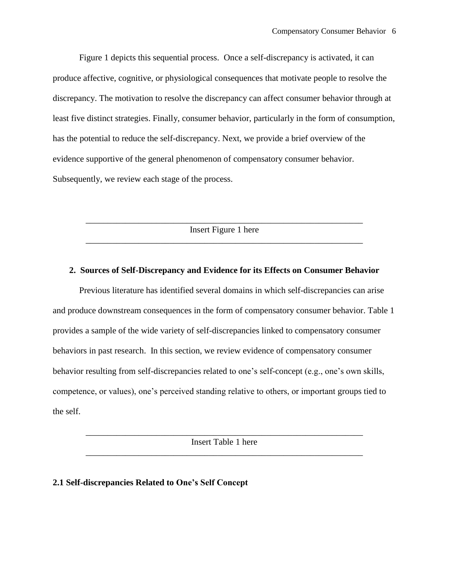Figure 1 depicts this sequential process. Once a self-discrepancy is activated, it can produce affective, cognitive, or physiological consequences that motivate people to resolve the discrepancy. The motivation to resolve the discrepancy can affect consumer behavior through at least five distinct strategies. Finally, consumer behavior, particularly in the form of consumption, has the potential to reduce the self-discrepancy. Next, we provide a brief overview of the evidence supportive of the general phenomenon of compensatory consumer behavior. Subsequently, we review each stage of the process.

\_\_\_\_\_\_\_\_\_\_\_\_\_\_\_\_\_\_\_\_\_\_\_\_\_\_\_\_\_\_\_\_\_\_\_\_\_\_\_\_\_\_\_\_\_\_\_\_\_\_\_\_\_\_\_\_\_\_\_\_\_\_\_ Insert Figure 1 here \_\_\_\_\_\_\_\_\_\_\_\_\_\_\_\_\_\_\_\_\_\_\_\_\_\_\_\_\_\_\_\_\_\_\_\_\_\_\_\_\_\_\_\_\_\_\_\_\_\_\_\_\_\_\_\_\_\_\_\_\_\_\_

## **2. Sources of Self-Discrepancy and Evidence for its Effects on Consumer Behavior**

Previous literature has identified several domains in which self-discrepancies can arise and produce downstream consequences in the form of compensatory consumer behavior. Table 1 provides a sample of the wide variety of self-discrepancies linked to compensatory consumer behaviors in past research. In this section, we review evidence of compensatory consumer behavior resulting from self-discrepancies related to one's self-concept (e.g., one's own skills, competence, or values), one's perceived standing relative to others, or important groups tied to the self.

\_\_\_\_\_\_\_\_\_\_\_\_\_\_\_\_\_\_\_\_\_\_\_\_\_\_\_\_\_\_\_\_\_\_\_\_\_\_\_\_\_\_\_\_\_\_\_\_\_\_\_\_\_\_\_\_\_\_\_\_\_\_\_ Insert Table 1 here \_\_\_\_\_\_\_\_\_\_\_\_\_\_\_\_\_\_\_\_\_\_\_\_\_\_\_\_\_\_\_\_\_\_\_\_\_\_\_\_\_\_\_\_\_\_\_\_\_\_\_\_\_\_\_\_\_\_\_\_\_\_\_

### **2.1 Self-discrepancies Related to One's Self Concept**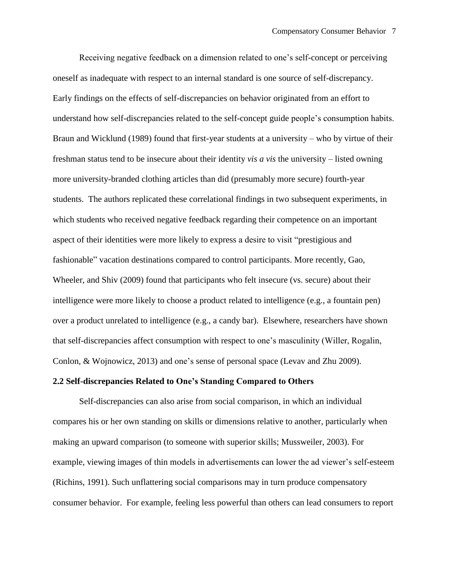Receiving negative feedback on a dimension related to one's self-concept or perceiving oneself as inadequate with respect to an internal standard is one source of self-discrepancy. Early findings on the effects of self-discrepancies on behavior originated from an effort to understand how self-discrepancies related to the self-concept guide people's consumption habits. Braun and Wicklund (1989) found that first-year students at a university – who by virtue of their freshman status tend to be insecure about their identity *vis a vis* the university – listed owning more university-branded clothing articles than did (presumably more secure) fourth-year students. The authors replicated these correlational findings in two subsequent experiments, in which students who received negative feedback regarding their competence on an important aspect of their identities were more likely to express a desire to visit "prestigious and fashionable" vacation destinations compared to control participants. More recently, Gao, Wheeler, and Shiv (2009) found that participants who felt insecure (vs. secure) about their intelligence were more likely to choose a product related to intelligence (e.g., a fountain pen) over a product unrelated to intelligence (e.g., a candy bar). Elsewhere, researchers have shown that self-discrepancies affect consumption with respect to one's masculinity (Willer, Rogalin, Conlon, & Wojnowicz, 2013) and one's sense of personal space (Levav and Zhu 2009).

#### **2.2 Self-discrepancies Related to One's Standing Compared to Others**

Self-discrepancies can also arise from social comparison, in which an individual compares his or her own standing on skills or dimensions relative to another, particularly when making an upward comparison (to someone with superior skills; Mussweiler, 2003). For example, viewing images of thin models in advertisements can lower the ad viewer's self-esteem (Richins, 1991). Such unflattering social comparisons may in turn produce compensatory consumer behavior. For example, feeling less powerful than others can lead consumers to report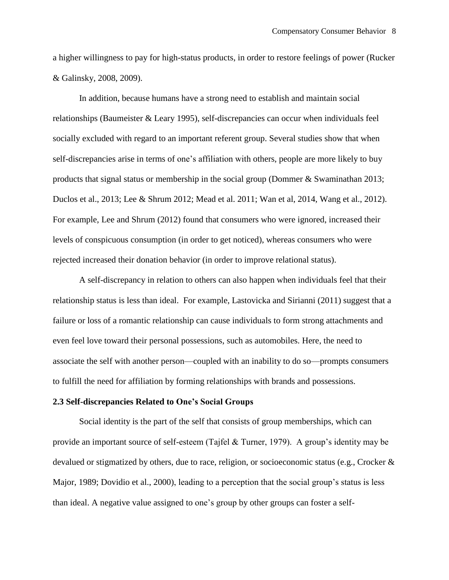a higher willingness to pay for high-status products, in order to restore feelings of power (Rucker & Galinsky, 2008, 2009).

In addition, because humans have a strong need to establish and maintain social relationships (Baumeister & Leary 1995), self-discrepancies can occur when individuals feel socially excluded with regard to an important referent group. Several studies show that when self-discrepancies arise in terms of one's affiliation with others, people are more likely to buy products that signal status or membership in the social group (Dommer & Swaminathan 2013; Duclos et al., 2013; Lee & Shrum 2012; Mead et al. 2011; Wan et al, 2014, Wang et al., 2012). For example, Lee and Shrum (2012) found that consumers who were ignored, increased their levels of conspicuous consumption (in order to get noticed), whereas consumers who were rejected increased their donation behavior (in order to improve relational status).

A self-discrepancy in relation to others can also happen when individuals feel that their relationship status is less than ideal. For example, Lastovicka and Sirianni (2011) suggest that a failure or loss of a romantic relationship can cause individuals to form strong attachments and even feel love toward their personal possessions, such as automobiles. Here, the need to associate the self with another person—coupled with an inability to do so—prompts consumers to fulfill the need for affiliation by forming relationships with brands and possessions.

#### **2.3 Self-discrepancies Related to One's Social Groups**

Social identity is the part of the self that consists of group memberships, which can provide an important source of self-esteem (Tajfel & Turner, 1979). A group's identity may be devalued or stigmatized by others, due to race, religion, or socioeconomic status (e.g., Crocker & Major, 1989; Dovidio et al., 2000), leading to a perception that the social group's status is less than ideal. A negative value assigned to one's group by other groups can foster a self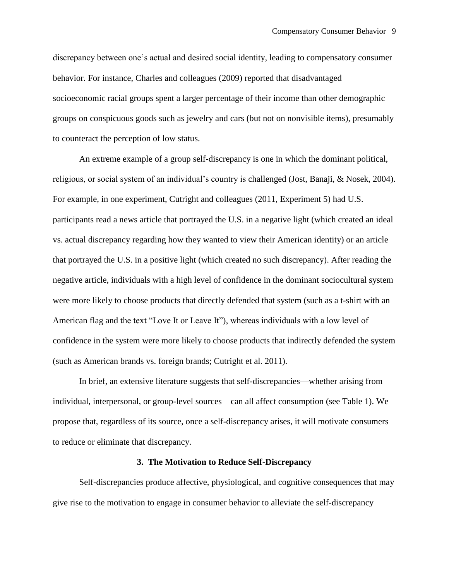discrepancy between one's actual and desired social identity, leading to compensatory consumer behavior. For instance, Charles and colleagues (2009) reported that disadvantaged socioeconomic racial groups spent a larger percentage of their income than other demographic groups on conspicuous goods such as jewelry and cars (but not on nonvisible items), presumably to counteract the perception of low status.

An extreme example of a group self-discrepancy is one in which the dominant political, religious, or social system of an individual's country is challenged (Jost, Banaji, & Nosek, 2004). For example, in one experiment, Cutright and colleagues (2011, Experiment 5) had U.S. participants read a news article that portrayed the U.S. in a negative light (which created an ideal vs. actual discrepancy regarding how they wanted to view their American identity) or an article that portrayed the U.S. in a positive light (which created no such discrepancy). After reading the negative article, individuals with a high level of confidence in the dominant sociocultural system were more likely to choose products that directly defended that system (such as a t-shirt with an American flag and the text "Love It or Leave It"), whereas individuals with a low level of confidence in the system were more likely to choose products that indirectly defended the system (such as American brands vs. foreign brands; Cutright et al. 2011).

In brief, an extensive literature suggests that self-discrepancies—whether arising from individual, interpersonal, or group-level sources—can all affect consumption (see Table 1). We propose that, regardless of its source, once a self-discrepancy arises, it will motivate consumers to reduce or eliminate that discrepancy.

#### **3. The Motivation to Reduce Self-Discrepancy**

Self-discrepancies produce affective, physiological, and cognitive consequences that may give rise to the motivation to engage in consumer behavior to alleviate the self-discrepancy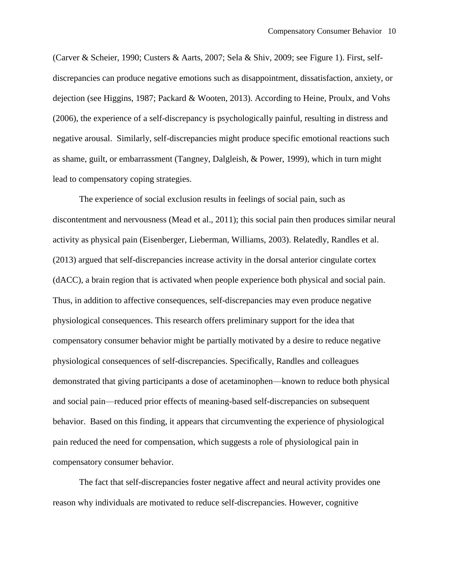(Carver & Scheier, 1990; Custers & Aarts, 2007; Sela & Shiv, 2009; see Figure 1). First, selfdiscrepancies can produce negative emotions such as disappointment, dissatisfaction, anxiety, or dejection (see Higgins, 1987; Packard & Wooten, 2013). According to Heine, Proulx, and Vohs (2006), the experience of a self-discrepancy is psychologically painful, resulting in distress and negative arousal. Similarly, self-discrepancies might produce specific emotional reactions such as shame, guilt, or embarrassment (Tangney, Dalgleish, & Power, 1999), which in turn might lead to compensatory coping strategies.

The experience of social exclusion results in feelings of social pain, such as discontentment and nervousness (Mead et al., 2011); this social pain then produces similar neural activity as physical pain (Eisenberger, Lieberman, Williams, 2003). Relatedly, Randles et al. (2013) argued that self-discrepancies increase activity in the dorsal anterior cingulate cortex (dACC), a brain region that is activated when people experience both physical and social pain. Thus, in addition to affective consequences, self-discrepancies may even produce negative physiological consequences. This research offers preliminary support for the idea that compensatory consumer behavior might be partially motivated by a desire to reduce negative physiological consequences of self-discrepancies. Specifically, Randles and colleagues demonstrated that giving participants a dose of acetaminophen—known to reduce both physical and social pain—reduced prior effects of meaning-based self-discrepancies on subsequent behavior. Based on this finding, it appears that circumventing the experience of physiological pain reduced the need for compensation, which suggests a role of physiological pain in compensatory consumer behavior.

The fact that self-discrepancies foster negative affect and neural activity provides one reason why individuals are motivated to reduce self-discrepancies. However, cognitive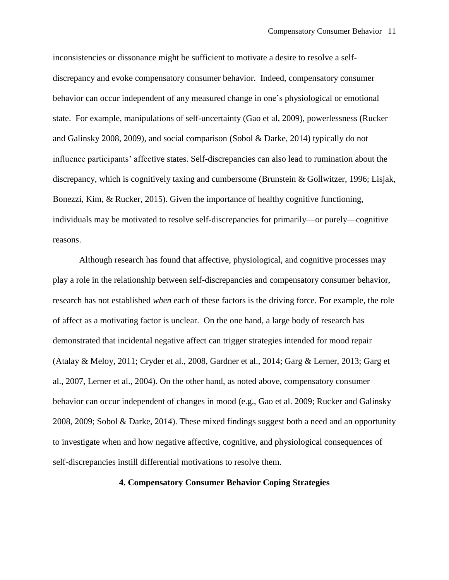inconsistencies or dissonance might be sufficient to motivate a desire to resolve a selfdiscrepancy and evoke compensatory consumer behavior. Indeed, compensatory consumer behavior can occur independent of any measured change in one's physiological or emotional state. For example, manipulations of self-uncertainty (Gao et al, 2009), powerlessness (Rucker and Galinsky 2008, 2009), and social comparison (Sobol & Darke, 2014) typically do not influence participants' affective states. Self-discrepancies can also lead to rumination about the discrepancy, which is cognitively taxing and cumbersome (Brunstein & Gollwitzer, 1996; Lisjak, Bonezzi, Kim, & Rucker, 2015). Given the importance of healthy cognitive functioning, individuals may be motivated to resolve self-discrepancies for primarily—or purely—cognitive reasons.

Although research has found that affective, physiological, and cognitive processes may play a role in the relationship between self-discrepancies and compensatory consumer behavior, research has not established *when* each of these factors is the driving force. For example, the role of affect as a motivating factor is unclear. On the one hand, a large body of research has demonstrated that incidental negative affect can trigger strategies intended for mood repair (Atalay & Meloy, 2011; Cryder et al., 2008, Gardner et al., 2014; Garg & Lerner, 2013; Garg et al., 2007, Lerner et al., 2004). On the other hand, as noted above, compensatory consumer behavior can occur independent of changes in mood (e.g., Gao et al. 2009; Rucker and Galinsky 2008, 2009; Sobol & Darke, 2014). These mixed findings suggest both a need and an opportunity to investigate when and how negative affective, cognitive, and physiological consequences of self-discrepancies instill differential motivations to resolve them.

### **4. Compensatory Consumer Behavior Coping Strategies**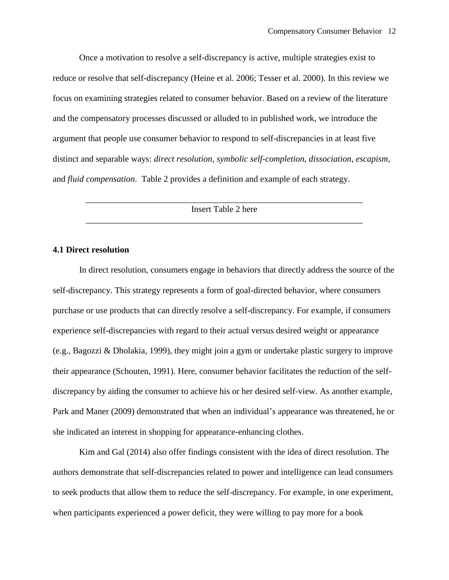Once a motivation to resolve a self-discrepancy is active, multiple strategies exist to reduce or resolve that self-discrepancy (Heine et al. 2006; Tesser et al. 2000). In this review we focus on examining strategies related to consumer behavior. Based on a review of the literature and the compensatory processes discussed or alluded to in published work, we introduce the argument that people use consumer behavior to respond to self-discrepancies in at least five distinct and separable ways: *direct resolution*, *symbolic self-completion*, *dissociation*, *escapism*, and *fluid compensation*. Table 2 provides a definition and example of each strategy.

> \_\_\_\_\_\_\_\_\_\_\_\_\_\_\_\_\_\_\_\_\_\_\_\_\_\_\_\_\_\_\_\_\_\_\_\_\_\_\_\_\_\_\_\_\_\_\_\_\_\_\_\_\_\_\_\_\_\_\_\_\_\_\_ Insert Table 2 here \_\_\_\_\_\_\_\_\_\_\_\_\_\_\_\_\_\_\_\_\_\_\_\_\_\_\_\_\_\_\_\_\_\_\_\_\_\_\_\_\_\_\_\_\_\_\_\_\_\_\_\_\_\_\_\_\_\_\_\_\_\_\_

## **4.1 Direct resolution**

In direct resolution, consumers engage in behaviors that directly address the source of the self-discrepancy. This strategy represents a form of goal-directed behavior, where consumers purchase or use products that can directly resolve a self-discrepancy. For example, if consumers experience self-discrepancies with regard to their actual versus desired weight or appearance (e.g., Bagozzi & Dholakia, 1999), they might join a gym or undertake plastic surgery to improve their appearance (Schouten, 1991). Here, consumer behavior facilitates the reduction of the selfdiscrepancy by aiding the consumer to achieve his or her desired self-view. As another example, Park and Maner (2009) demonstrated that when an individual's appearance was threatened, he or she indicated an interest in shopping for appearance-enhancing clothes.

Kim and Gal (2014) also offer findings consistent with the idea of direct resolution. The authors demonstrate that self-discrepancies related to power and intelligence can lead consumers to seek products that allow them to reduce the self-discrepancy. For example, in one experiment, when participants experienced a power deficit, they were willing to pay more for a book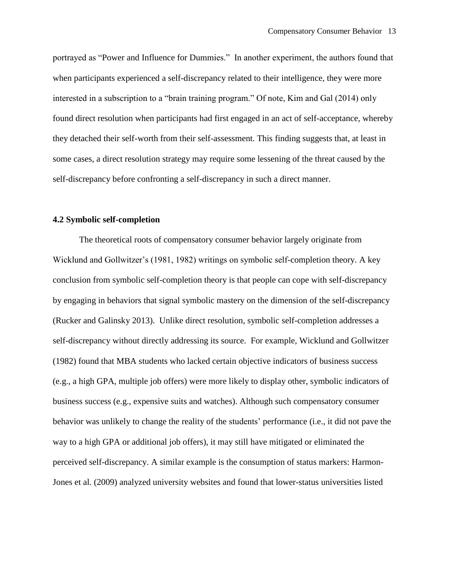portrayed as "Power and Influence for Dummies." In another experiment, the authors found that when participants experienced a self-discrepancy related to their intelligence, they were more interested in a subscription to a "brain training program." Of note, Kim and Gal (2014) only found direct resolution when participants had first engaged in an act of self-acceptance, whereby they detached their self-worth from their self-assessment. This finding suggests that, at least in some cases, a direct resolution strategy may require some lessening of the threat caused by the self-discrepancy before confronting a self-discrepancy in such a direct manner.

### **4.2 Symbolic self-completion**

The theoretical roots of compensatory consumer behavior largely originate from Wicklund and Gollwitzer's (1981, 1982) writings on symbolic self-completion theory. A key conclusion from symbolic self-completion theory is that people can cope with self-discrepancy by engaging in behaviors that signal symbolic mastery on the dimension of the self-discrepancy (Rucker and Galinsky 2013). Unlike direct resolution, symbolic self-completion addresses a self-discrepancy without directly addressing its source. For example, Wicklund and Gollwitzer (1982) found that MBA students who lacked certain objective indicators of business success (e.g., a high GPA, multiple job offers) were more likely to display other, symbolic indicators of business success (e.g., expensive suits and watches). Although such compensatory consumer behavior was unlikely to change the reality of the students' performance (i.e., it did not pave the way to a high GPA or additional job offers), it may still have mitigated or eliminated the perceived self-discrepancy. A similar example is the consumption of status markers: Harmon-Jones et al. (2009) analyzed university websites and found that lower-status universities listed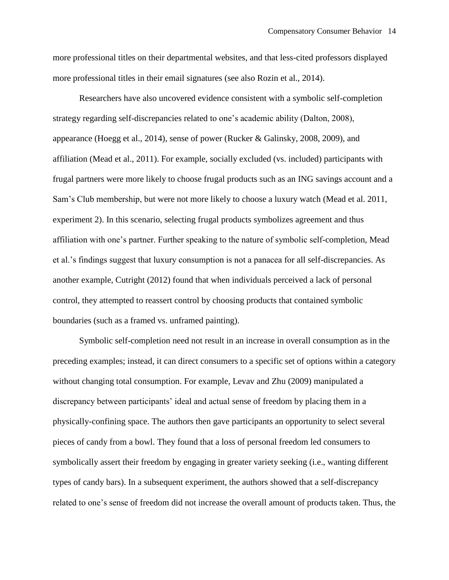more professional titles on their departmental websites, and that less-cited professors displayed more professional titles in their email signatures (see also Rozin et al., 2014).

Researchers have also uncovered evidence consistent with a symbolic self-completion strategy regarding self-discrepancies related to one's academic ability (Dalton, 2008), appearance (Hoegg et al., 2014), sense of power (Rucker & Galinsky, 2008, 2009), and affiliation (Mead et al., 2011). For example, socially excluded (vs. included) participants with frugal partners were more likely to choose frugal products such as an ING savings account and a Sam's Club membership, but were not more likely to choose a luxury watch (Mead et al. 2011, experiment 2). In this scenario, selecting frugal products symbolizes agreement and thus affiliation with one's partner. Further speaking to the nature of symbolic self-completion, Mead et al.'s findings suggest that luxury consumption is not a panacea for all self-discrepancies. As another example, Cutright (2012) found that when individuals perceived a lack of personal control, they attempted to reassert control by choosing products that contained symbolic boundaries (such as a framed vs. unframed painting).

Symbolic self-completion need not result in an increase in overall consumption as in the preceding examples; instead, it can direct consumers to a specific set of options within a category without changing total consumption. For example, Levav and Zhu (2009) manipulated a discrepancy between participants' ideal and actual sense of freedom by placing them in a physically-confining space. The authors then gave participants an opportunity to select several pieces of candy from a bowl. They found that a loss of personal freedom led consumers to symbolically assert their freedom by engaging in greater variety seeking (i.e., wanting different types of candy bars). In a subsequent experiment, the authors showed that a self-discrepancy related to one's sense of freedom did not increase the overall amount of products taken. Thus, the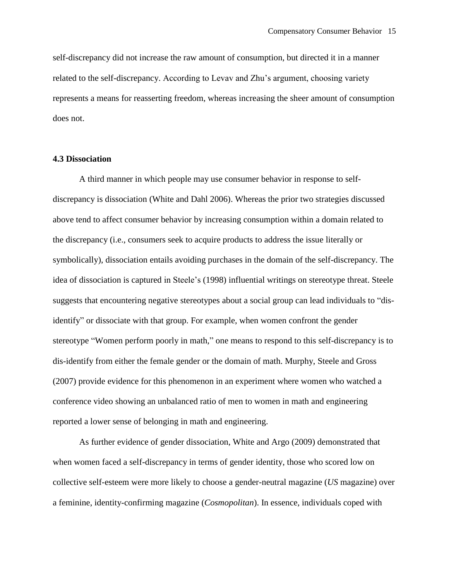self-discrepancy did not increase the raw amount of consumption, but directed it in a manner related to the self-discrepancy. According to Levav and Zhu's argument, choosing variety represents a means for reasserting freedom, whereas increasing the sheer amount of consumption does not.

#### **4.3 Dissociation**

A third manner in which people may use consumer behavior in response to selfdiscrepancy is dissociation (White and Dahl 2006). Whereas the prior two strategies discussed above tend to affect consumer behavior by increasing consumption within a domain related to the discrepancy (i.e., consumers seek to acquire products to address the issue literally or symbolically), dissociation entails avoiding purchases in the domain of the self-discrepancy. The idea of dissociation is captured in Steele's (1998) influential writings on stereotype threat. Steele suggests that encountering negative stereotypes about a social group can lead individuals to "disidentify" or dissociate with that group. For example, when women confront the gender stereotype "Women perform poorly in math," one means to respond to this self-discrepancy is to dis-identify from either the female gender or the domain of math. Murphy, Steele and Gross (2007) provide evidence for this phenomenon in an experiment where women who watched a conference video showing an unbalanced ratio of men to women in math and engineering reported a lower sense of belonging in math and engineering.

As further evidence of gender dissociation, White and Argo (2009) demonstrated that when women faced a self-discrepancy in terms of gender identity, those who scored low on collective self-esteem were more likely to choose a gender-neutral magazine (*US* magazine) over a feminine, identity-confirming magazine (*Cosmopolitan*). In essence, individuals coped with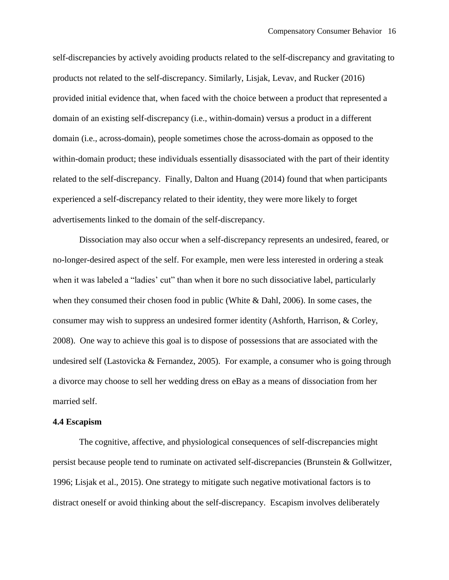self-discrepancies by actively avoiding products related to the self-discrepancy and gravitating to products not related to the self-discrepancy. Similarly, Lisjak, Levav, and Rucker (2016) provided initial evidence that, when faced with the choice between a product that represented a domain of an existing self-discrepancy (i.e., within-domain) versus a product in a different domain (i.e., across-domain), people sometimes chose the across-domain as opposed to the within-domain product; these individuals essentially disassociated with the part of their identity related to the self-discrepancy. Finally, Dalton and Huang (2014) found that when participants experienced a self-discrepancy related to their identity, they were more likely to forget advertisements linked to the domain of the self-discrepancy.

Dissociation may also occur when a self-discrepancy represents an undesired, feared, or no-longer-desired aspect of the self. For example, men were less interested in ordering a steak when it was labeled a "ladies' cut" than when it bore no such dissociative label, particularly when they consumed their chosen food in public (White & Dahl, 2006). In some cases, the consumer may wish to suppress an undesired former identity (Ashforth, Harrison, & Corley, 2008). One way to achieve this goal is to dispose of possessions that are associated with the undesired self (Lastovicka & Fernandez, 2005). For example, a consumer who is going through a divorce may choose to sell her wedding dress on eBay as a means of dissociation from her married self.

#### **4.4 Escapism**

The cognitive, affective, and physiological consequences of self-discrepancies might persist because people tend to ruminate on activated self-discrepancies (Brunstein & Gollwitzer, 1996; Lisjak et al., 2015). One strategy to mitigate such negative motivational factors is to distract oneself or avoid thinking about the self-discrepancy. Escapism involves deliberately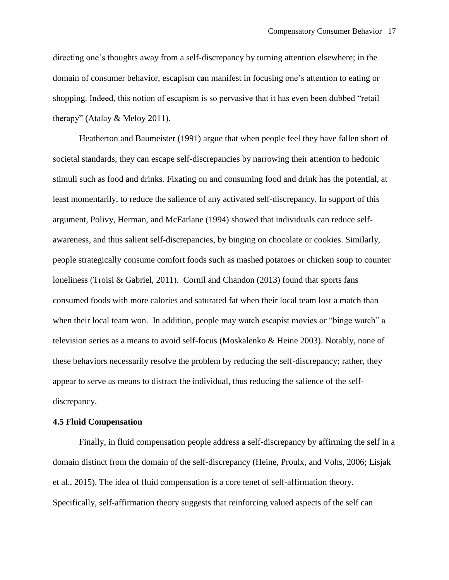directing one's thoughts away from a self-discrepancy by turning attention elsewhere; in the domain of consumer behavior, escapism can manifest in focusing one's attention to eating or shopping. Indeed, this notion of escapism is so pervasive that it has even been dubbed "retail therapy" (Atalay & Meloy 2011).

Heatherton and Baumeister (1991) argue that when people feel they have fallen short of societal standards, they can escape self-discrepancies by narrowing their attention to hedonic stimuli such as food and drinks. Fixating on and consuming food and drink has the potential, at least momentarily, to reduce the salience of any activated self-discrepancy. In support of this argument, Polivy, Herman, and McFarlane (1994) showed that individuals can reduce selfawareness, and thus salient self-discrepancies, by binging on chocolate or cookies. Similarly, people strategically consume comfort foods such as mashed potatoes or chicken soup to counter loneliness (Troisi & Gabriel, 2011). Cornil and Chandon (2013) found that sports fans consumed foods with more calories and saturated fat when their local team lost a match than when their local team won. In addition, people may watch escapist movies or "binge watch" a television series as a means to avoid self-focus (Moskalenko & Heine 2003). Notably, none of these behaviors necessarily resolve the problem by reducing the self-discrepancy; rather, they appear to serve as means to distract the individual, thus reducing the salience of the selfdiscrepancy.

#### **4.5 Fluid Compensation**

Finally, in fluid compensation people address a self-discrepancy by affirming the self in a domain distinct from the domain of the self-discrepancy (Heine, Proulx, and Vohs, 2006; Lisjak et al., 2015). The idea of fluid compensation is a core tenet of self-affirmation theory. Specifically, self-affirmation theory suggests that reinforcing valued aspects of the self can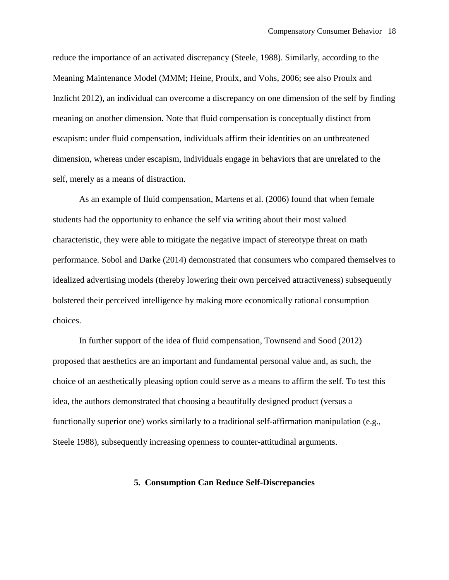reduce the importance of an activated discrepancy (Steele, 1988). Similarly, according to the Meaning Maintenance Model (MMM; Heine, Proulx, and Vohs, 2006; see also Proulx and Inzlicht 2012), an individual can overcome a discrepancy on one dimension of the self by finding meaning on another dimension. Note that fluid compensation is conceptually distinct from escapism: under fluid compensation, individuals affirm their identities on an unthreatened dimension, whereas under escapism, individuals engage in behaviors that are unrelated to the self, merely as a means of distraction.

As an example of fluid compensation, Martens et al. (2006) found that when female students had the opportunity to enhance the self via writing about their most valued characteristic, they were able to mitigate the negative impact of stereotype threat on math performance. Sobol and Darke (2014) demonstrated that consumers who compared themselves to idealized advertising models (thereby lowering their own perceived attractiveness) subsequently bolstered their perceived intelligence by making more economically rational consumption choices.

In further support of the idea of fluid compensation, Townsend and Sood (2012) proposed that aesthetics are an important and fundamental personal value and, as such, the choice of an aesthetically pleasing option could serve as a means to affirm the self. To test this idea, the authors demonstrated that choosing a beautifully designed product (versus a functionally superior one) works similarly to a traditional self-affirmation manipulation (e.g., Steele 1988), subsequently increasing openness to counter-attitudinal arguments.

## **5. Consumption Can Reduce Self-Discrepancies**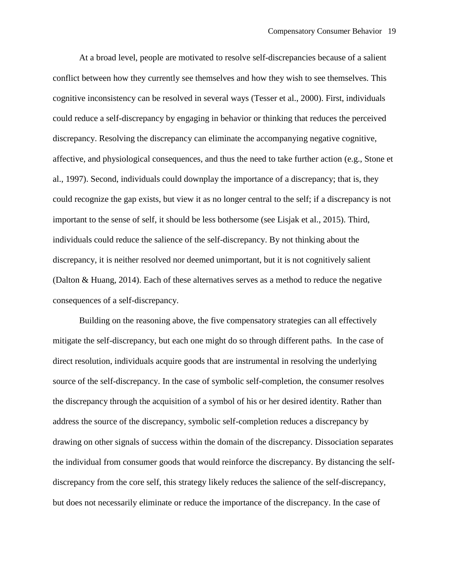At a broad level, people are motivated to resolve self-discrepancies because of a salient conflict between how they currently see themselves and how they wish to see themselves. This cognitive inconsistency can be resolved in several ways (Tesser et al., 2000). First, individuals could reduce a self-discrepancy by engaging in behavior or thinking that reduces the perceived discrepancy. Resolving the discrepancy can eliminate the accompanying negative cognitive, affective, and physiological consequences, and thus the need to take further action (e.g., Stone et al., 1997). Second, individuals could downplay the importance of a discrepancy; that is, they could recognize the gap exists, but view it as no longer central to the self; if a discrepancy is not important to the sense of self, it should be less bothersome (see Lisjak et al., 2015). Third, individuals could reduce the salience of the self-discrepancy. By not thinking about the discrepancy, it is neither resolved nor deemed unimportant, but it is not cognitively salient (Dalton & Huang, 2014). Each of these alternatives serves as a method to reduce the negative consequences of a self-discrepancy.

Building on the reasoning above, the five compensatory strategies can all effectively mitigate the self-discrepancy, but each one might do so through different paths. In the case of direct resolution, individuals acquire goods that are instrumental in resolving the underlying source of the self-discrepancy. In the case of symbolic self-completion, the consumer resolves the discrepancy through the acquisition of a symbol of his or her desired identity. Rather than address the source of the discrepancy, symbolic self-completion reduces a discrepancy by drawing on other signals of success within the domain of the discrepancy. Dissociation separates the individual from consumer goods that would reinforce the discrepancy. By distancing the selfdiscrepancy from the core self, this strategy likely reduces the salience of the self-discrepancy, but does not necessarily eliminate or reduce the importance of the discrepancy. In the case of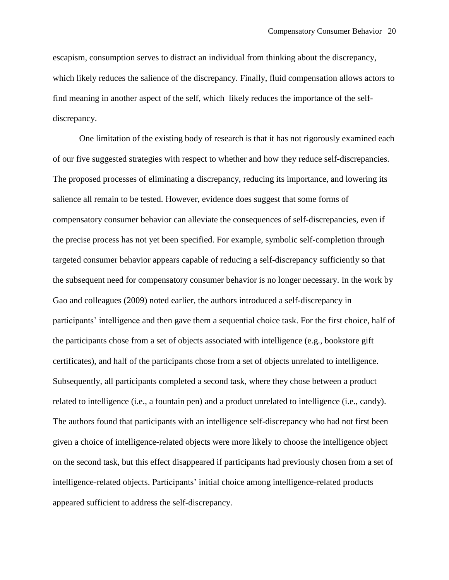escapism, consumption serves to distract an individual from thinking about the discrepancy, which likely reduces the salience of the discrepancy. Finally, fluid compensation allows actors to find meaning in another aspect of the self, which likely reduces the importance of the selfdiscrepancy.

One limitation of the existing body of research is that it has not rigorously examined each of our five suggested strategies with respect to whether and how they reduce self-discrepancies. The proposed processes of eliminating a discrepancy, reducing its importance, and lowering its salience all remain to be tested. However, evidence does suggest that some forms of compensatory consumer behavior can alleviate the consequences of self-discrepancies, even if the precise process has not yet been specified. For example, symbolic self-completion through targeted consumer behavior appears capable of reducing a self-discrepancy sufficiently so that the subsequent need for compensatory consumer behavior is no longer necessary. In the work by Gao and colleagues (2009) noted earlier, the authors introduced a self-discrepancy in participants' intelligence and then gave them a sequential choice task. For the first choice, half of the participants chose from a set of objects associated with intelligence (e.g., bookstore gift certificates), and half of the participants chose from a set of objects unrelated to intelligence. Subsequently, all participants completed a second task, where they chose between a product related to intelligence (i.e., a fountain pen) and a product unrelated to intelligence (i.e., candy). The authors found that participants with an intelligence self-discrepancy who had not first been given a choice of intelligence-related objects were more likely to choose the intelligence object on the second task, but this effect disappeared if participants had previously chosen from a set of intelligence-related objects. Participants' initial choice among intelligence-related products appeared sufficient to address the self-discrepancy.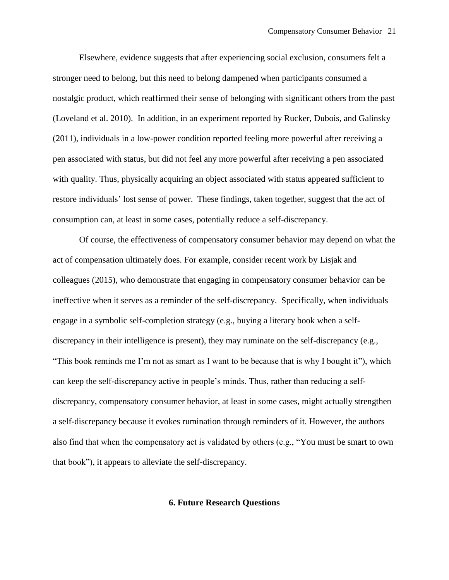Elsewhere, evidence suggests that after experiencing social exclusion, consumers felt a stronger need to belong, but this need to belong dampened when participants consumed a nostalgic product, which reaffirmed their sense of belonging with significant others from the past (Loveland et al. 2010). In addition, in an experiment reported by Rucker, Dubois, and Galinsky (2011), individuals in a low-power condition reported feeling more powerful after receiving a pen associated with status, but did not feel any more powerful after receiving a pen associated with quality. Thus, physically acquiring an object associated with status appeared sufficient to restore individuals' lost sense of power. These findings, taken together, suggest that the act of consumption can, at least in some cases, potentially reduce a self-discrepancy.

Of course, the effectiveness of compensatory consumer behavior may depend on what the act of compensation ultimately does. For example, consider recent work by Lisjak and colleagues (2015), who demonstrate that engaging in compensatory consumer behavior can be ineffective when it serves as a reminder of the self-discrepancy. Specifically, when individuals engage in a symbolic self-completion strategy (e.g., buying a literary book when a selfdiscrepancy in their intelligence is present), they may ruminate on the self-discrepancy (e.g., "This book reminds me I'm not as smart as I want to be because that is why I bought it"), which can keep the self-discrepancy active in people's minds. Thus, rather than reducing a selfdiscrepancy, compensatory consumer behavior, at least in some cases, might actually strengthen a self-discrepancy because it evokes rumination through reminders of it. However, the authors also find that when the compensatory act is validated by others (e.g., "You must be smart to own that book"), it appears to alleviate the self-discrepancy.

#### **6. Future Research Questions**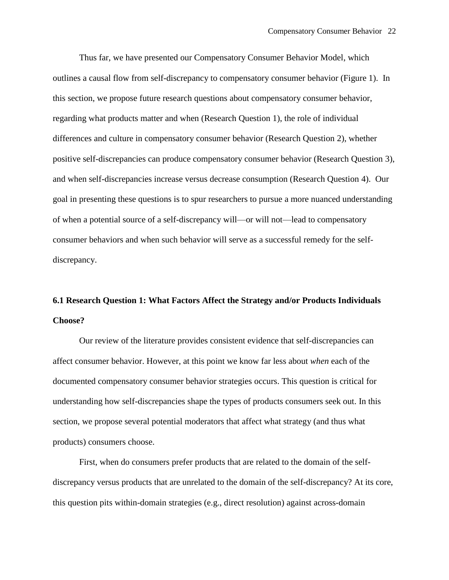Thus far, we have presented our Compensatory Consumer Behavior Model, which outlines a causal flow from self-discrepancy to compensatory consumer behavior (Figure 1). In this section, we propose future research questions about compensatory consumer behavior, regarding what products matter and when (Research Question 1), the role of individual differences and culture in compensatory consumer behavior (Research Question 2), whether positive self-discrepancies can produce compensatory consumer behavior (Research Question 3), and when self-discrepancies increase versus decrease consumption (Research Question 4). Our goal in presenting these questions is to spur researchers to pursue a more nuanced understanding of when a potential source of a self-discrepancy will—or will not—lead to compensatory consumer behaviors and when such behavior will serve as a successful remedy for the selfdiscrepancy.

# **6.1 Research Question 1: What Factors Affect the Strategy and/or Products Individuals Choose?**

Our review of the literature provides consistent evidence that self-discrepancies can affect consumer behavior. However, at this point we know far less about *when* each of the documented compensatory consumer behavior strategies occurs. This question is critical for understanding how self-discrepancies shape the types of products consumers seek out. In this section, we propose several potential moderators that affect what strategy (and thus what products) consumers choose.

First, when do consumers prefer products that are related to the domain of the selfdiscrepancy versus products that are unrelated to the domain of the self-discrepancy? At its core, this question pits within-domain strategies (e.g., direct resolution) against across-domain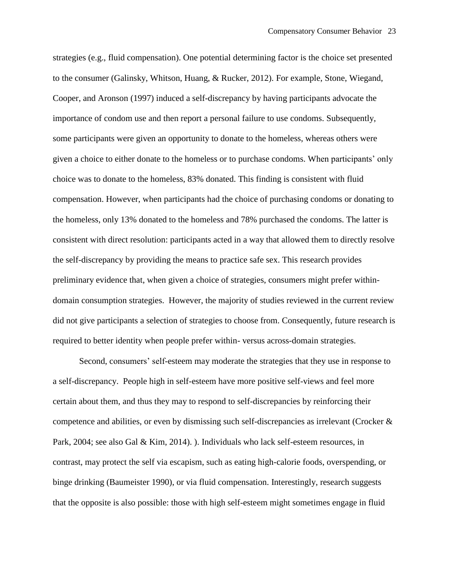strategies (e.g., fluid compensation). One potential determining factor is the choice set presented to the consumer (Galinsky, Whitson, Huang, & Rucker, 2012). For example, Stone, Wiegand, Cooper, and Aronson (1997) induced a self-discrepancy by having participants advocate the importance of condom use and then report a personal failure to use condoms. Subsequently, some participants were given an opportunity to donate to the homeless, whereas others were given a choice to either donate to the homeless or to purchase condoms. When participants' only choice was to donate to the homeless, 83% donated. This finding is consistent with fluid compensation. However, when participants had the choice of purchasing condoms or donating to the homeless, only 13% donated to the homeless and 78% purchased the condoms. The latter is consistent with direct resolution: participants acted in a way that allowed them to directly resolve the self-discrepancy by providing the means to practice safe sex. This research provides preliminary evidence that, when given a choice of strategies, consumers might prefer withindomain consumption strategies. However, the majority of studies reviewed in the current review did not give participants a selection of strategies to choose from. Consequently, future research is required to better identity when people prefer within- versus across-domain strategies.

Second, consumers' self-esteem may moderate the strategies that they use in response to a self-discrepancy. People high in self-esteem have more positive self-views and feel more certain about them, and thus they may to respond to self-discrepancies by reinforcing their competence and abilities, or even by dismissing such self-discrepancies as irrelevant (Crocker & Park, 2004; see also Gal & Kim, 2014). ). Individuals who lack self-esteem resources, in contrast, may protect the self via escapism, such as eating high-calorie foods, overspending, or binge drinking (Baumeister 1990), or via fluid compensation. Interestingly, research suggests that the opposite is also possible: those with high self-esteem might sometimes engage in fluid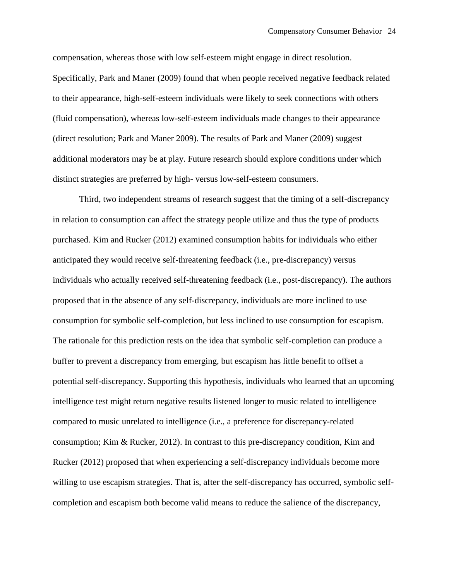compensation, whereas those with low self-esteem might engage in direct resolution. Specifically, Park and Maner (2009) found that when people received negative feedback related to their appearance, high-self-esteem individuals were likely to seek connections with others (fluid compensation), whereas low-self-esteem individuals made changes to their appearance (direct resolution; Park and Maner 2009). The results of Park and Maner (2009) suggest additional moderators may be at play. Future research should explore conditions under which distinct strategies are preferred by high- versus low-self-esteem consumers.

Third, two independent streams of research suggest that the timing of a self-discrepancy in relation to consumption can affect the strategy people utilize and thus the type of products purchased. Kim and Rucker (2012) examined consumption habits for individuals who either anticipated they would receive self-threatening feedback (i.e., pre-discrepancy) versus individuals who actually received self-threatening feedback (i.e., post-discrepancy). The authors proposed that in the absence of any self-discrepancy, individuals are more inclined to use consumption for symbolic self-completion, but less inclined to use consumption for escapism. The rationale for this prediction rests on the idea that symbolic self-completion can produce a buffer to prevent a discrepancy from emerging, but escapism has little benefit to offset a potential self-discrepancy. Supporting this hypothesis, individuals who learned that an upcoming intelligence test might return negative results listened longer to music related to intelligence compared to music unrelated to intelligence (i.e., a preference for discrepancy-related consumption; Kim & Rucker, 2012). In contrast to this pre-discrepancy condition, Kim and Rucker (2012) proposed that when experiencing a self-discrepancy individuals become more willing to use escapism strategies. That is, after the self-discrepancy has occurred, symbolic selfcompletion and escapism both become valid means to reduce the salience of the discrepancy,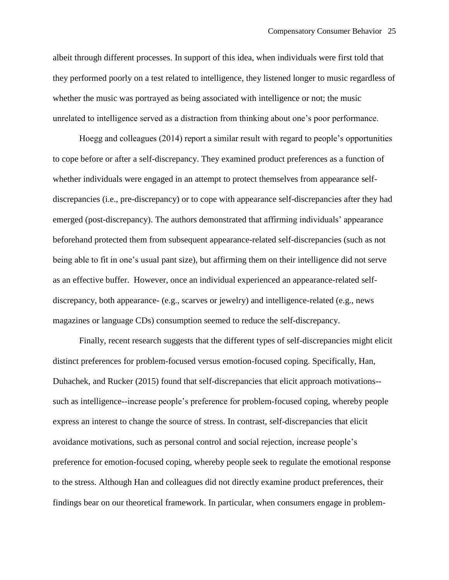albeit through different processes. In support of this idea, when individuals were first told that they performed poorly on a test related to intelligence, they listened longer to music regardless of whether the music was portrayed as being associated with intelligence or not; the music unrelated to intelligence served as a distraction from thinking about one's poor performance.

Hoegg and colleagues (2014) report a similar result with regard to people's opportunities to cope before or after a self-discrepancy. They examined product preferences as a function of whether individuals were engaged in an attempt to protect themselves from appearance selfdiscrepancies (i.e., pre-discrepancy) or to cope with appearance self-discrepancies after they had emerged (post-discrepancy). The authors demonstrated that affirming individuals' appearance beforehand protected them from subsequent appearance-related self-discrepancies (such as not being able to fit in one's usual pant size), but affirming them on their intelligence did not serve as an effective buffer. However, once an individual experienced an appearance-related selfdiscrepancy, both appearance- (e.g., scarves or jewelry) and intelligence-related (e.g., news magazines or language CDs) consumption seemed to reduce the self-discrepancy.

Finally, recent research suggests that the different types of self-discrepancies might elicit distinct preferences for problem-focused versus emotion-focused coping. Specifically, Han, Duhachek, and Rucker (2015) found that self-discrepancies that elicit approach motivations- such as intelligence--increase people's preference for problem-focused coping, whereby people express an interest to change the source of stress. In contrast, self-discrepancies that elicit avoidance motivations, such as personal control and social rejection, increase people's preference for emotion-focused coping, whereby people seek to regulate the emotional response to the stress. Although Han and colleagues did not directly examine product preferences, their findings bear on our theoretical framework. In particular, when consumers engage in problem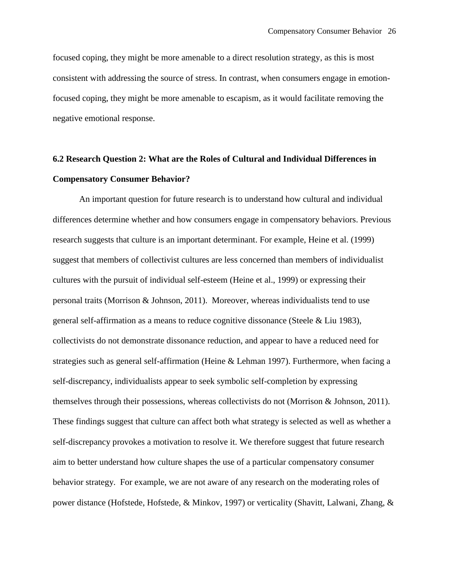focused coping, they might be more amenable to a direct resolution strategy, as this is most consistent with addressing the source of stress. In contrast, when consumers engage in emotionfocused coping, they might be more amenable to escapism, as it would facilitate removing the negative emotional response.

# **6.2 Research Question 2: What are the Roles of Cultural and Individual Differences in Compensatory Consumer Behavior?**

An important question for future research is to understand how cultural and individual differences determine whether and how consumers engage in compensatory behaviors. Previous research suggests that culture is an important determinant. For example, Heine et al. (1999) suggest that members of collectivist cultures are less concerned than members of individualist cultures with the pursuit of individual self-esteem (Heine et al., 1999) or expressing their personal traits (Morrison & Johnson, 2011). Moreover, whereas individualists tend to use general self-affirmation as a means to reduce cognitive dissonance (Steele & Liu 1983), collectivists do not demonstrate dissonance reduction, and appear to have a reduced need for strategies such as general self-affirmation (Heine & Lehman 1997). Furthermore, when facing a self-discrepancy, individualists appear to seek symbolic self-completion by expressing themselves through their possessions, whereas collectivists do not (Morrison & Johnson, 2011). These findings suggest that culture can affect both what strategy is selected as well as whether a self-discrepancy provokes a motivation to resolve it. We therefore suggest that future research aim to better understand how culture shapes the use of a particular compensatory consumer behavior strategy. For example, we are not aware of any research on the moderating roles of power distance (Hofstede, Hofstede, & Minkov, 1997) or verticality (Shavitt, Lalwani, Zhang, &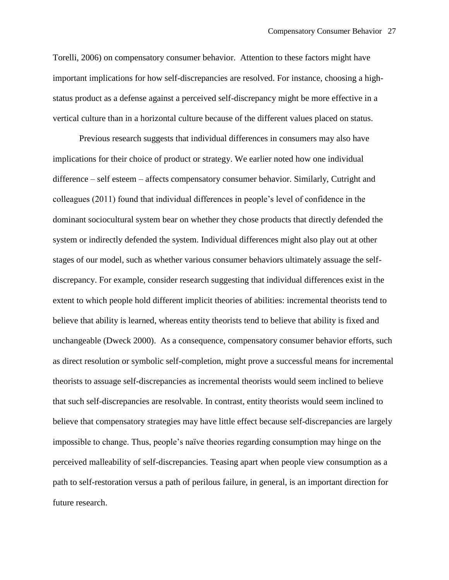Torelli, 2006) on compensatory consumer behavior. Attention to these factors might have important implications for how self-discrepancies are resolved. For instance, choosing a highstatus product as a defense against a perceived self-discrepancy might be more effective in a vertical culture than in a horizontal culture because of the different values placed on status.

Previous research suggests that individual differences in consumers may also have implications for their choice of product or strategy. We earlier noted how one individual difference – self esteem – affects compensatory consumer behavior. Similarly, Cutright and colleagues (2011) found that individual differences in people's level of confidence in the dominant sociocultural system bear on whether they chose products that directly defended the system or indirectly defended the system. Individual differences might also play out at other stages of our model, such as whether various consumer behaviors ultimately assuage the selfdiscrepancy. For example, consider research suggesting that individual differences exist in the extent to which people hold different implicit theories of abilities: incremental theorists tend to believe that ability is learned, whereas entity theorists tend to believe that ability is fixed and unchangeable (Dweck 2000). As a consequence, compensatory consumer behavior efforts, such as direct resolution or symbolic self-completion, might prove a successful means for incremental theorists to assuage self-discrepancies as incremental theorists would seem inclined to believe that such self-discrepancies are resolvable. In contrast, entity theorists would seem inclined to believe that compensatory strategies may have little effect because self-discrepancies are largely impossible to change. Thus, people's naïve theories regarding consumption may hinge on the perceived malleability of self-discrepancies. Teasing apart when people view consumption as a path to self-restoration versus a path of perilous failure, in general, is an important direction for future research.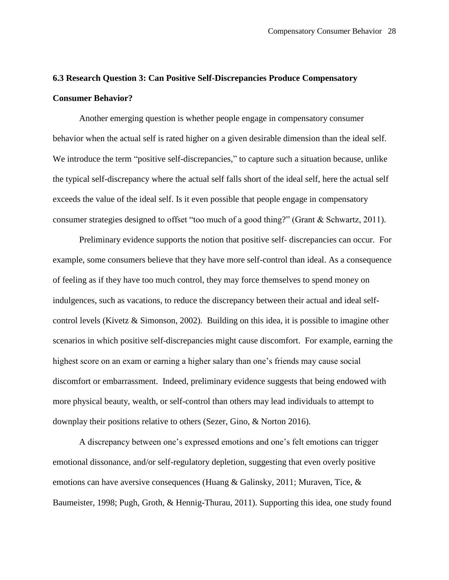## **6.3 Research Question 3: Can Positive Self-Discrepancies Produce Compensatory Consumer Behavior?**

Another emerging question is whether people engage in compensatory consumer behavior when the actual self is rated higher on a given desirable dimension than the ideal self. We introduce the term "positive self-discrepancies," to capture such a situation because, unlike the typical self-discrepancy where the actual self falls short of the ideal self, here the actual self exceeds the value of the ideal self. Is it even possible that people engage in compensatory consumer strategies designed to offset "too much of a good thing?" (Grant & Schwartz, 2011).

Preliminary evidence supports the notion that positive self- discrepancies can occur. For example, some consumers believe that they have more self-control than ideal. As a consequence of feeling as if they have too much control, they may force themselves to spend money on indulgences, such as vacations, to reduce the discrepancy between their actual and ideal selfcontrol levels (Kivetz & Simonson, 2002). Building on this idea, it is possible to imagine other scenarios in which positive self-discrepancies might cause discomfort. For example, earning the highest score on an exam or earning a higher salary than one's friends may cause social discomfort or embarrassment. Indeed, preliminary evidence suggests that being endowed with more physical beauty, wealth, or self-control than others may lead individuals to attempt to downplay their positions relative to others (Sezer, Gino, & Norton 2016).

A discrepancy between one's expressed emotions and one's felt emotions can trigger emotional dissonance, and/or self-regulatory depletion, suggesting that even overly positive emotions can have aversive consequences (Huang & Galinsky, 2011; Muraven, Tice,  $\&$ Baumeister, 1998; Pugh, Groth, & Hennig-Thurau, 2011). Supporting this idea, one study found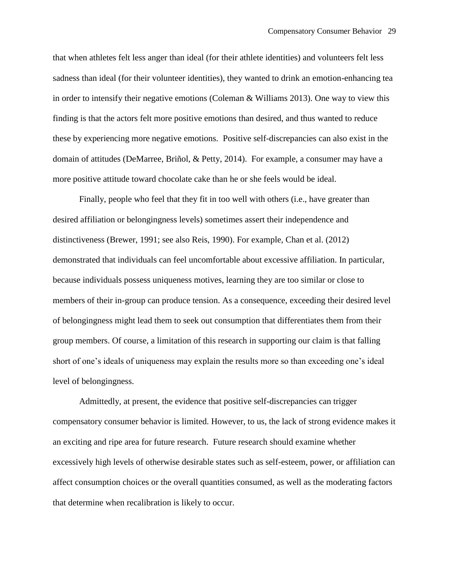that when athletes felt less anger than ideal (for their athlete identities) and volunteers felt less sadness than ideal (for their volunteer identities), they wanted to drink an emotion-enhancing tea in order to intensify their negative emotions (Coleman  $&$  Williams 2013). One way to view this finding is that the actors felt more positive emotions than desired, and thus wanted to reduce these by experiencing more negative emotions. Positive self-discrepancies can also exist in the domain of attitudes (DeMarree, Briñol, & Petty, 2014). For example, a consumer may have a more positive attitude toward chocolate cake than he or she feels would be ideal.

Finally, people who feel that they fit in too well with others (i.e., have greater than desired affiliation or belongingness levels) sometimes assert their independence and distinctiveness (Brewer, 1991; see also Reis, 1990). For example, Chan et al. (2012) demonstrated that individuals can feel uncomfortable about excessive affiliation. In particular, because individuals possess uniqueness motives, learning they are too similar or close to members of their in-group can produce tension. As a consequence, exceeding their desired level of belongingness might lead them to seek out consumption that differentiates them from their group members. Of course, a limitation of this research in supporting our claim is that falling short of one's ideals of uniqueness may explain the results more so than exceeding one's ideal level of belongingness.

Admittedly, at present, the evidence that positive self-discrepancies can trigger compensatory consumer behavior is limited. However, to us, the lack of strong evidence makes it an exciting and ripe area for future research. Future research should examine whether excessively high levels of otherwise desirable states such as self-esteem, power, or affiliation can affect consumption choices or the overall quantities consumed, as well as the moderating factors that determine when recalibration is likely to occur.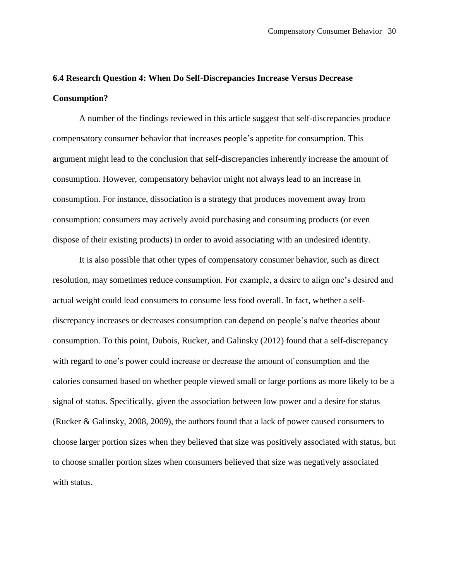## **6.4 Research Question 4: When Do Self-Discrepancies Increase Versus Decrease Consumption?**

A number of the findings reviewed in this article suggest that self-discrepancies produce compensatory consumer behavior that increases people's appetite for consumption. This argument might lead to the conclusion that self-discrepancies inherently increase the amount of consumption. However, compensatory behavior might not always lead to an increase in consumption. For instance, dissociation is a strategy that produces movement away from consumption: consumers may actively avoid purchasing and consuming products (or even dispose of their existing products) in order to avoid associating with an undesired identity.

It is also possible that other types of compensatory consumer behavior, such as direct resolution, may sometimes reduce consumption. For example, a desire to align one's desired and actual weight could lead consumers to consume less food overall. In fact, whether a selfdiscrepancy increases or decreases consumption can depend on people's naïve theories about consumption. To this point, Dubois, Rucker, and Galinsky (2012) found that a self-discrepancy with regard to one's power could increase or decrease the amount of consumption and the calories consumed based on whether people viewed small or large portions as more likely to be a signal of status. Specifically, given the association between low power and a desire for status (Rucker & Galinsky, 2008, 2009), the authors found that a lack of power caused consumers to choose larger portion sizes when they believed that size was positively associated with status, but to choose smaller portion sizes when consumers believed that size was negatively associated with status.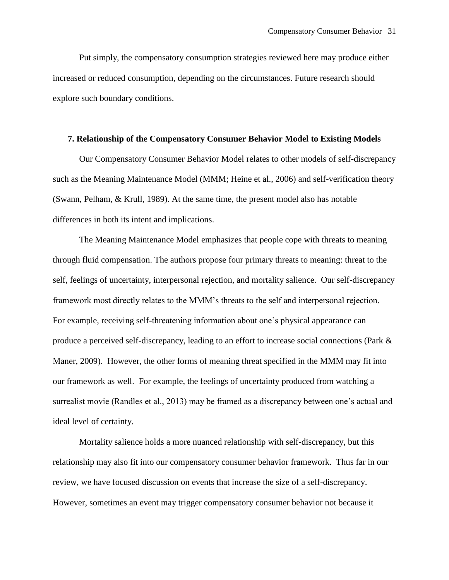Put simply, the compensatory consumption strategies reviewed here may produce either increased or reduced consumption, depending on the circumstances. Future research should explore such boundary conditions.

#### **7. Relationship of the Compensatory Consumer Behavior Model to Existing Models**

Our Compensatory Consumer Behavior Model relates to other models of self-discrepancy such as the Meaning Maintenance Model (MMM; Heine et al., 2006) and self-verification theory (Swann, Pelham, & Krull, 1989). At the same time, the present model also has notable differences in both its intent and implications.

The Meaning Maintenance Model emphasizes that people cope with threats to meaning through fluid compensation. The authors propose four primary threats to meaning: threat to the self, feelings of uncertainty, interpersonal rejection, and mortality salience. Our self-discrepancy framework most directly relates to the MMM's threats to the self and interpersonal rejection. For example, receiving self-threatening information about one's physical appearance can produce a perceived self-discrepancy, leading to an effort to increase social connections (Park & Maner, 2009). However, the other forms of meaning threat specified in the MMM may fit into our framework as well. For example, the feelings of uncertainty produced from watching a surrealist movie (Randles et al., 2013) may be framed as a discrepancy between one's actual and ideal level of certainty.

Mortality salience holds a more nuanced relationship with self-discrepancy, but this relationship may also fit into our compensatory consumer behavior framework. Thus far in our review, we have focused discussion on events that increase the size of a self-discrepancy. However, sometimes an event may trigger compensatory consumer behavior not because it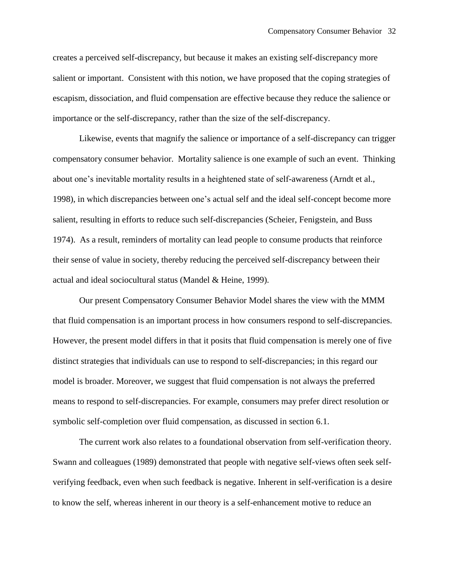creates a perceived self-discrepancy, but because it makes an existing self-discrepancy more salient or important. Consistent with this notion, we have proposed that the coping strategies of escapism, dissociation, and fluid compensation are effective because they reduce the salience or importance or the self-discrepancy, rather than the size of the self-discrepancy.

Likewise, events that magnify the salience or importance of a self-discrepancy can trigger compensatory consumer behavior. Mortality salience is one example of such an event. Thinking about one's inevitable mortality results in a heightened state of self-awareness (Arndt et al., 1998), in which discrepancies between one's actual self and the ideal self-concept become more salient, resulting in efforts to reduce such self-discrepancies (Scheier, Fenigstein, and Buss 1974). As a result, reminders of mortality can lead people to consume products that reinforce their sense of value in society, thereby reducing the perceived self-discrepancy between their actual and ideal sociocultural status (Mandel & Heine, 1999).

Our present Compensatory Consumer Behavior Model shares the view with the MMM that fluid compensation is an important process in how consumers respond to self-discrepancies. However, the present model differs in that it posits that fluid compensation is merely one of five distinct strategies that individuals can use to respond to self-discrepancies; in this regard our model is broader. Moreover, we suggest that fluid compensation is not always the preferred means to respond to self-discrepancies. For example, consumers may prefer direct resolution or symbolic self-completion over fluid compensation, as discussed in section 6.1.

The current work also relates to a foundational observation from self-verification theory. Swann and colleagues (1989) demonstrated that people with negative self-views often seek selfverifying feedback, even when such feedback is negative. Inherent in self-verification is a desire to know the self, whereas inherent in our theory is a self-enhancement motive to reduce an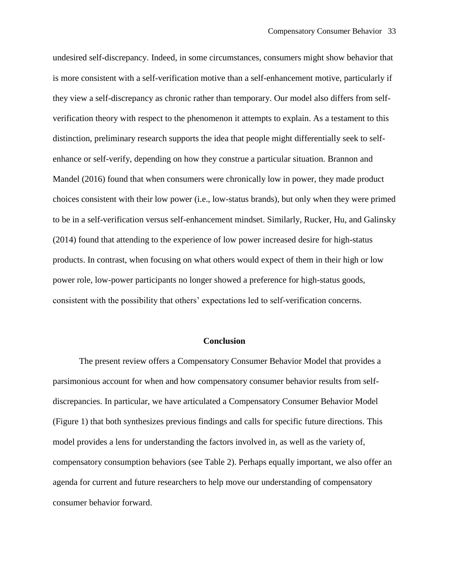undesired self-discrepancy. Indeed, in some circumstances, consumers might show behavior that is more consistent with a self-verification motive than a self-enhancement motive, particularly if they view a self-discrepancy as chronic rather than temporary. Our model also differs from selfverification theory with respect to the phenomenon it attempts to explain. As a testament to this distinction, preliminary research supports the idea that people might differentially seek to selfenhance or self-verify, depending on how they construe a particular situation. Brannon and Mandel (2016) found that when consumers were chronically low in power, they made product choices consistent with their low power (i.e., low-status brands), but only when they were primed to be in a self-verification versus self-enhancement mindset. Similarly, Rucker, Hu, and Galinsky (2014) found that attending to the experience of low power increased desire for high-status products. In contrast, when focusing on what others would expect of them in their high or low power role, low-power participants no longer showed a preference for high-status goods, consistent with the possibility that others' expectations led to self-verification concerns.

#### **Conclusion**

The present review offers a Compensatory Consumer Behavior Model that provides a parsimonious account for when and how compensatory consumer behavior results from selfdiscrepancies. In particular, we have articulated a Compensatory Consumer Behavior Model (Figure 1) that both synthesizes previous findings and calls for specific future directions. This model provides a lens for understanding the factors involved in, as well as the variety of, compensatory consumption behaviors (see Table 2). Perhaps equally important, we also offer an agenda for current and future researchers to help move our understanding of compensatory consumer behavior forward.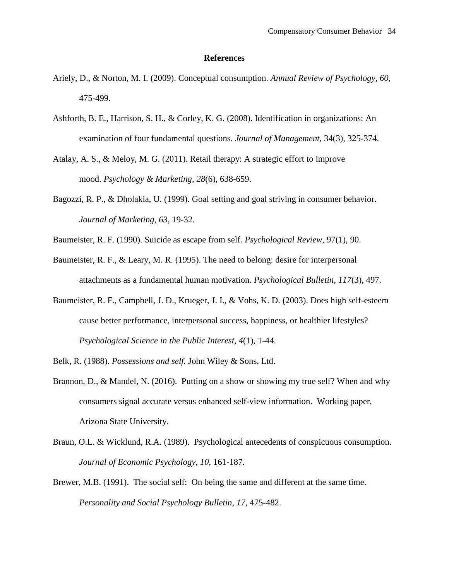#### **References**

- Ariely, D., & Norton, M. I. (2009). Conceptual consumption. *Annual Review of Psychology*, *60*, 475-499.
- Ashforth, B. E., Harrison, S. H., & Corley, K. G. (2008). Identification in organizations: An examination of four fundamental questions. *Journal of Management,* 34(3), 325-374.
- Atalay, A. S., & Meloy, M. G. (2011). Retail therapy: A strategic effort to improve mood. *Psychology & Marketing*, *28*(6), 638-659.
- Bagozzi, R. P., & Dholakia, U. (1999). Goal setting and goal striving in consumer behavior. *Journal of Marketing*, *63*, 19-32.
- Baumeister, R. F. (1990). Suicide as escape from self. *Psychological Review*, 97(1), 90.
- Baumeister, R. F., & Leary, M. R. (1995). The need to belong: desire for interpersonal attachments as a fundamental human motivation. *Psychological Bulletin*, *117*(3), 497.
- Baumeister, R. F., Campbell, J. D., Krueger, J. I., & Vohs, K. D. (2003). Does high self-esteem cause better performance, interpersonal success, happiness, or healthier lifestyles? *Psychological Science in the Public Interest*, *4*(1), 1-44.

Belk, R. (1988). *Possessions and self.* John Wiley & Sons, Ltd.

- Brannon, D., & Mandel, N. (2016). Putting on a show or showing my true self? When and why consumers signal accurate versus enhanced self-view information. Working paper, Arizona State University.
- Braun, O.L. & Wicklund, R.A. (1989). Psychological antecedents of conspicuous consumption. *Journal of Economic Psychology*, *10*, 161-187.
- Brewer, M.B. (1991). The social self: On being the same and different at the same time. *Personality and Social Psychology Bulletin*, *17*, 475-482.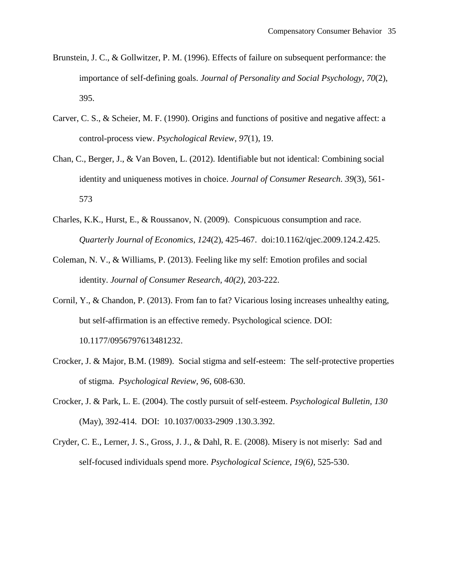- Brunstein, J. C., & Gollwitzer, P. M. (1996). Effects of failure on subsequent performance: the importance of self-defining goals. *Journal of Personality and Social Psychology*, *70*(2), 395.
- Carver, C. S., & Scheier, M. F. (1990). Origins and functions of positive and negative affect: a control-process view. *Psychological Review*, *97*(1), 19.
- Chan, C., Berger, J., & Van Boven, L. (2012). Identifiable but not identical: Combining social identity and uniqueness motives in choice. *Journal of Consumer Research. 39*(3), 561- 573
- Charles, K.K., Hurst, E., & Roussanov, N. (2009). Conspicuous consumption and race. *Quarterly Journal of Economics, 124*(2), 425-467. doi:10.1162/qjec.2009.124.2.425.
- Coleman, N. V., & Williams, P. (2013). Feeling like my self: Emotion profiles and social identity. *Journal of Consumer Research, 40(2)*, 203-222.
- Cornil, Y., & Chandon, P. (2013). From fan to fat? Vicarious losing increases unhealthy eating, but self-affirmation is an effective remedy. Psychological science. DOI: 10.1177/0956797613481232.
- Crocker, J. & Major, B.M. (1989). Social stigma and self-esteem: The self-protective properties of stigma. *Psychological Review, 96*, 608-630.
- Crocker, J. & Park, L. E. (2004). The costly pursuit of self-esteem. *Psychological Bulletin, 130* (May), 392-414. DOI: 10.1037/0033-2909 .130.3.392.
- Cryder, C. E., Lerner, J. S., Gross, J. J., & Dahl, R. E. (2008). Misery is not miserly: Sad and self-focused individuals spend more. *Psychological Science, 19(6)*, 525-530.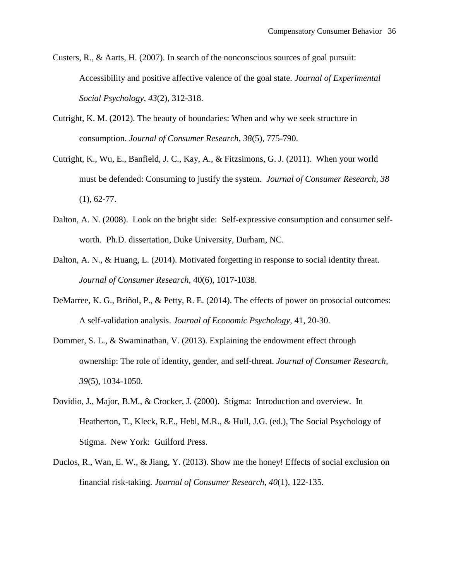- Custers, R., & Aarts, H. (2007). In search of the nonconscious sources of goal pursuit: Accessibility and positive affective valence of the goal state. *Journal of Experimental Social Psychology, 43*(2), 312-318.
- Cutright, K. M. (2012). The beauty of boundaries: When and why we seek structure in consumption. *Journal of Consumer Research, 38*(5), 775-790.
- Cutright, K., Wu, E., Banfield, J. C., Kay, A., & Fitzsimons, G. J. (2011). When your world must be defended: Consuming to justify the system. *Journal of Consumer Research, 38*  $(1), 62-77.$
- Dalton, A. N. (2008). Look on the bright side: Self-expressive consumption and consumer selfworth. Ph.D. dissertation, Duke University, Durham, NC.
- Dalton, A. N., & Huang, L. (2014). Motivated forgetting in response to social identity threat. *Journal of Consumer Research,* 40(6), 1017-1038.
- DeMarree, K. G., Briñol, P., & Petty, R. E. (2014). The effects of power on prosocial outcomes: A self-validation analysis. *Journal of Economic Psychology,* 41, 20-30.
- Dommer, S. L., & Swaminathan, V. (2013). Explaining the endowment effect through ownership: The role of identity, gender, and self-threat. *Journal of Consumer Research, 39*(5), 1034-1050.
- Dovidio, J., Major, B.M., & Crocker, J. (2000). Stigma: Introduction and overview. In Heatherton, T., Kleck, R.E., Hebl, M.R., & Hull, J.G. (ed.), The Social Psychology of Stigma. New York: Guilford Press.
- Duclos, R., Wan, E. W., & Jiang, Y. (2013). Show me the honey! Effects of social exclusion on financial risk-taking. *Journal of Consumer Research, 40*(1), 122-135.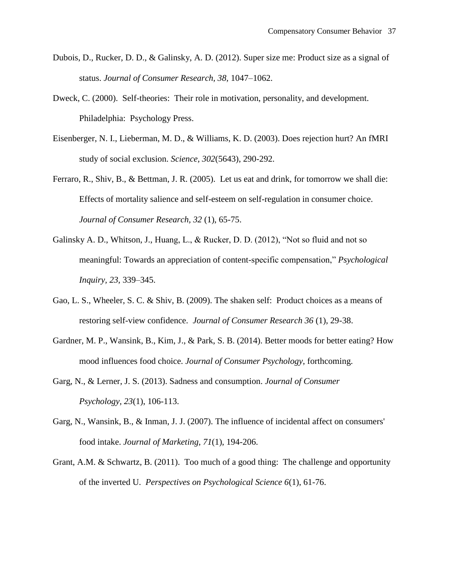- Dubois, D., Rucker, D. D., & Galinsky, A. D. (2012). Super size me: Product size as a signal of status. *Journal of Consumer Research, 38,* 1047–1062.
- Dweck, C. (2000). Self-theories: Their role in motivation, personality, and development. Philadelphia: Psychology Press.
- Eisenberger, N. I., Lieberman, M. D., & Williams, K. D. (2003). Does rejection hurt? An fMRI study of social exclusion. *Science, 302*(5643), 290-292.
- Ferraro, R., Shiv, B., & Bettman, J. R. (2005). Let us eat and drink, for tomorrow we shall die: Effects of mortality salience and self-esteem on self-regulation in consumer choice. *Journal of Consumer Research, 32* (1), 65-75.
- Galinsky A. D., Whitson, J., Huang, L., & Rucker, D. D. (2012), "Not so fluid and not so meaningful: Towards an appreciation of content-specific compensation," *Psychological Inquiry, 23*, 339–345.
- Gao, L. S., Wheeler, S. C. & Shiv, B. (2009). The shaken self: Product choices as a means of restoring self-view confidence. *Journal of Consumer Research 36* (1), 29-38.
- Gardner, M. P., Wansink, B., Kim, J., & Park, S. B. (2014). Better moods for better eating? How mood influences food choice. *Journal of Consumer Psychology*, forthcoming.
- Garg, N., & Lerner, J. S. (2013). Sadness and consumption. *Journal of Consumer Psychology, 23*(1), 106-113.
- Garg, N., Wansink, B., & Inman, J. J. (2007). The influence of incidental affect on consumers' food intake. *Journal of Marketing, 71*(1), 194-206.
- Grant, A.M. & Schwartz, B. (2011). Too much of a good thing: The challenge and opportunity of the inverted U. *Perspectives on Psychological Science 6*(1), 61-76.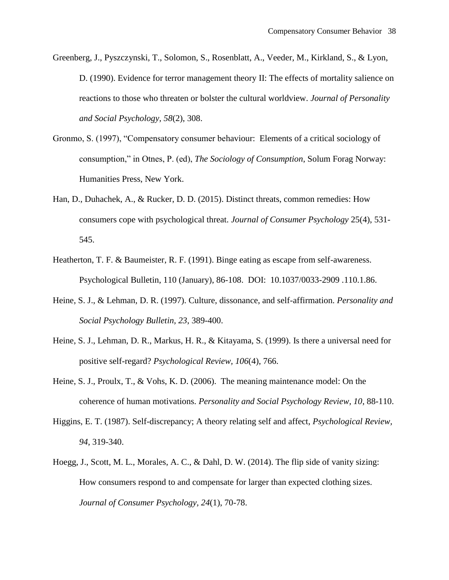- Greenberg, J., Pyszczynski, T., Solomon, S., Rosenblatt, A., Veeder, M., Kirkland, S., & Lyon, D. (1990). Evidence for terror management theory II: The effects of mortality salience on reactions to those who threaten or bolster the cultural worldview. *Journal of Personality and Social Psychology, 58*(2), 308.
- Gronmo, S. (1997), "Compensatory consumer behaviour: Elements of a critical sociology of consumption," in Otnes, P. (ed), *The Sociology of Consumption*, Solum Forag Norway: Humanities Press, New York.
- Han, D., Duhachek, A., & Rucker, D. D. (2015). Distinct threats, common remedies: How consumers cope with psychological threat. *Journal of Consumer Psychology* 25(4), 531- 545.
- Heatherton, T. F. & Baumeister, R. F. (1991). Binge eating as escape from self-awareness. Psychological Bulletin, 110 (January), 86-108. DOI: 10.1037/0033-2909 .110.1.86.
- Heine, S. J., & Lehman, D. R. (1997). Culture, dissonance, and self-affirmation. *Personality and Social Psychology Bulletin, 23*, 389-400.
- Heine, S. J., Lehman, D. R., Markus, H. R., & Kitayama, S. (1999). Is there a universal need for positive self-regard? *Psychological Review, 106*(4), 766.
- Heine, S. J., Proulx, T., & Vohs, K. D. (2006). The meaning maintenance model: On the coherence of human motivations. *Personality and Social Psychology Review, 10*, 88-110.
- Higgins, E. T. (1987). Self-discrepancy; A theory relating self and affect, *Psychological Review, 94*, 319-340.
- Hoegg, J., Scott, M. L., Morales, A. C., & Dahl, D. W. (2014). The flip side of vanity sizing: How consumers respond to and compensate for larger than expected clothing sizes. *Journal of Consumer Psychology, 24*(1), 70-78.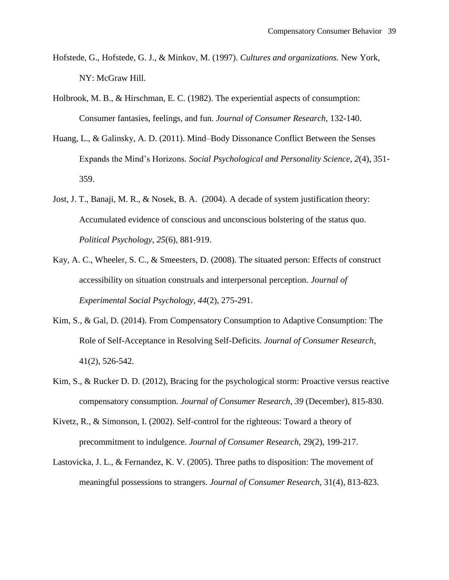- Hofstede, G., Hofstede, G. J., & Minkov, M. (1997). *Cultures and organizations.* New York, NY: McGraw Hill.
- Holbrook, M. B., & Hirschman, E. C. (1982). The experiential aspects of consumption: Consumer fantasies, feelings, and fun. *Journal of Consumer Research,* 132-140.
- Huang, L., & Galinsky, A. D. (2011). Mind–Body Dissonance Conflict Between the Senses Expands the Mind's Horizons. *Social Psychological and Personality Science*, *2*(4), 351- 359.
- Jost, J. T., Banaji, M. R., & Nosek, B. A. (2004). A decade of system justification theory: Accumulated evidence of conscious and unconscious bolstering of the status quo. *Political Psychology, 25*(6), 881-919.
- Kay, A. C., Wheeler, S. C., & Smeesters, D. (2008). The situated person: Effects of construct accessibility on situation construals and interpersonal perception. *Journal of Experimental Social Psychology, 44*(2), 275-291.
- Kim, S., & Gal, D. (2014). From Compensatory Consumption to Adaptive Consumption: The Role of Self-Acceptance in Resolving Self-Deficits. *Journal of Consumer Research,*  41(2), 526-542.
- Kim, S., & Rucker D. D. (2012), Bracing for the psychological storm: Proactive versus reactive compensatory consumption. *Journal of Consumer Research, 39* (December), 815-830.
- Kivetz, R., & Simonson, I. (2002). Self-control for the righteous: Toward a theory of precommitment to indulgence. *Journal of Consumer Research,* 29(2), 199-217.
- Lastovicka, J. L., & Fernandez, K. V. (2005). Three paths to disposition: The movement of meaningful possessions to strangers. *Journal of Consumer Research,* 31(4), 813-823.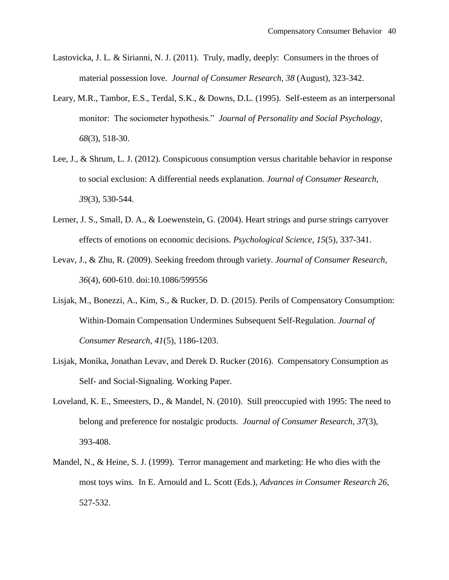- Lastovicka, J. L. & Sirianni, N. J. (2011). Truly, madly, deeply: Consumers in the throes of material possession love. *Journal of Consumer Research, 38* (August), 323-342.
- Leary, M.R., Tambor, E.S., Terdal, S.K., & Downs, D.L. (1995). Self-esteem as an interpersonal monitor: The sociometer hypothesis." *Journal of Personality and Social Psychology, 68*(3), 518-30.
- Lee, J., & Shrum, L. J. (2012). Conspicuous consumption versus charitable behavior in response to social exclusion: A differential needs explanation. *Journal of Consumer Research, 39*(3), 530-544.
- Lerner, J. S., Small, D. A., & Loewenstein, G. (2004). Heart strings and purse strings carryover effects of emotions on economic decisions. *Psychological Science, 15*(5), 337-341.
- Levav, J., & Zhu, R. (2009). Seeking freedom through variety. *Journal of Consumer Research, 36*(4), 600-610. doi:10.1086/599556
- Lisjak, M., Bonezzi, A., Kim, S., & Rucker, D. D. (2015). Perils of Compensatory Consumption: Within-Domain Compensation Undermines Subsequent Self-Regulation. *Journal of Consumer Research, 41*(5), 1186-1203.
- Lisjak, Monika, Jonathan Levav, and Derek D. Rucker (2016). Compensatory Consumption as Self- and Social-Signaling. Working Paper.
- Loveland, K. E., Smeesters, D., & Mandel, N. (2010). Still preoccupied with 1995: The need to belong and preference for nostalgic products. *Journal of Consumer Research, 37*(3), 393-408.
- Mandel, N., & Heine, S. J. (1999). Terror management and marketing: He who dies with the most toys wins. In E. Arnould and L. Scott (Eds.), *Advances in Consumer Research 26*, 527-532.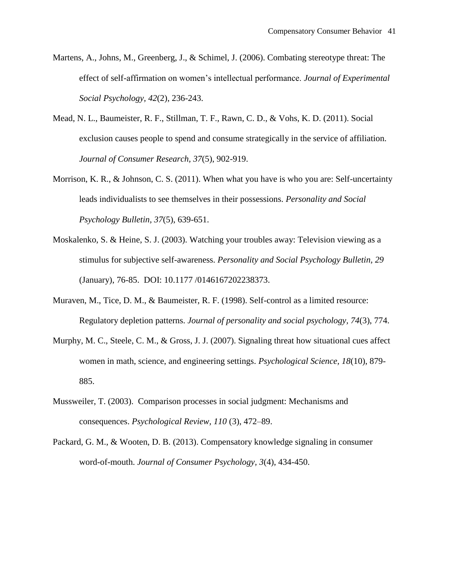- Martens, A., Johns, M., Greenberg, J., & Schimel, J. (2006). Combating stereotype threat: The effect of self-affirmation on women's intellectual performance. *Journal of Experimental Social Psychology, 42*(2), 236-243.
- Mead, N. L., Baumeister, R. F., Stillman, T. F., Rawn, C. D., & Vohs, K. D. (2011). Social exclusion causes people to spend and consume strategically in the service of affiliation. *Journal of Consumer Research, 37*(5), 902-919.
- Morrison, K. R., & Johnson, C. S. (2011). When what you have is who you are: Self-uncertainty leads individualists to see themselves in their possessions. *Personality and Social Psychology Bulletin, 37*(5), 639-651.
- Moskalenko, S. & Heine, S. J. (2003). Watching your troubles away: Television viewing as a stimulus for subjective self-awareness. *Personality and Social Psychology Bulletin, 29* (January), 76-85. DOI: 10.1177 /0146167202238373.
- Muraven, M., Tice, D. M., & Baumeister, R. F. (1998). Self-control as a limited resource: Regulatory depletion patterns. *Journal of personality and social psychology, 74*(3), 774.
- Murphy, M. C., Steele, C. M., & Gross, J. J. (2007). Signaling threat how situational cues affect women in math, science, and engineering settings. *Psychological Science, 18*(10), 879- 885.
- Mussweiler, T. (2003). Comparison processes in social judgment: Mechanisms and consequences. *Psychological Review, 110* (3), 472–89.
- Packard, G. M., & Wooten, D. B. (2013). Compensatory knowledge signaling in consumer word-of-mouth. *Journal of Consumer Psychology, 3*(4), 434-450.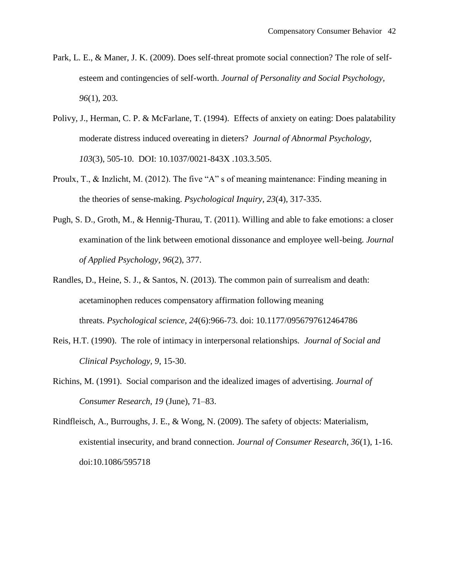- Park, L. E., & Maner, J. K. (2009). Does self-threat promote social connection? The role of selfesteem and contingencies of self-worth. *Journal of Personality and Social Psychology, 96*(1), 203.
- Polivy, J., Herman, C. P. & McFarlane, T. (1994). Effects of anxiety on eating: Does palatability moderate distress induced overeating in dieters? *Journal of Abnormal Psychology, 103*(3), 505-10. DOI: 10.1037/0021-843X .103.3.505.
- Proulx, T., & Inzlicht, M. (2012). The five "A" s of meaning maintenance: Finding meaning in the theories of sense-making. *Psychological Inquiry, 23*(4), 317-335.
- Pugh, S. D., Groth, M., & Hennig-Thurau, T. (2011). Willing and able to fake emotions: a closer examination of the link between emotional dissonance and employee well-being. *Journal of Applied Psychology, 96*(2), 377.
- Randles, D., Heine, S. J., & Santos, N. (2013). The common pain of surrealism and death: acetaminophen reduces compensatory affirmation following meaning threats. *Psychological science, 24*(6):966-73. doi: 10.1177/0956797612464786
- Reis, H.T. (1990). The role of intimacy in interpersonal relationships*. Journal of Social and Clinical Psychology, 9*, 15-30.
- Richins, M. (1991). Social comparison and the idealized images of advertising. *Journal of Consumer Research, 19* (June), 71–83.
- Rindfleisch, A., Burroughs, J. E., & Wong, N. (2009). The safety of objects: Materialism, existential insecurity, and brand connection. *Journal of Consumer Research, 36*(1), 1-16. doi:10.1086/595718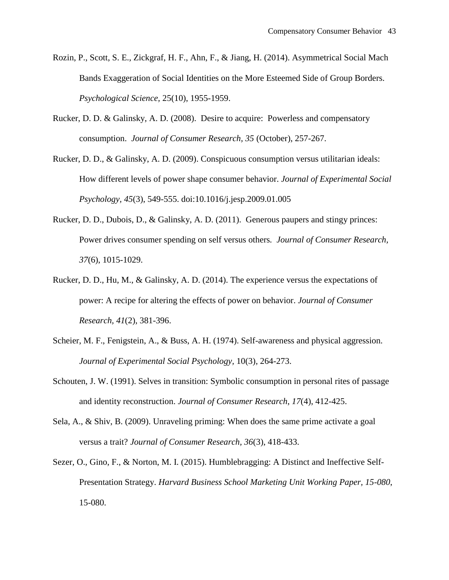- Rozin, P., Scott, S. E., Zickgraf, H. F., Ahn, F., & Jiang, H. (2014). Asymmetrical Social Mach Bands Exaggeration of Social Identities on the More Esteemed Side of Group Borders. *Psychological Science,* 25(10), 1955-1959.
- Rucker, D. D. & Galinsky, A. D. (2008). Desire to acquire: Powerless and compensatory consumption. *Journal of Consumer Research, 35* (October), 257-267.
- Rucker, D. D., & Galinsky, A. D. (2009). Conspicuous consumption versus utilitarian ideals: How different levels of power shape consumer behavior. *Journal of Experimental Social Psychology, 45*(3), 549-555. doi:10.1016/j.jesp.2009.01.005
- Rucker, D. D., Dubois, D., & Galinsky, A. D. (2011). Generous paupers and stingy princes: Power drives consumer spending on self versus others*. Journal of Consumer Research, 37*(6), 1015-1029.
- Rucker, D. D., Hu, M., & Galinsky, A. D. (2014). The experience versus the expectations of power: A recipe for altering the effects of power on behavior. *Journal of Consumer Research, 41*(2), 381-396.
- Scheier, M. F., Fenigstein, A., & Buss, A. H. (1974). Self-awareness and physical aggression. *Journal of Experimental Social Psychology,* 10(3), 264-273.
- Schouten, J. W. (1991). Selves in transition: Symbolic consumption in personal rites of passage and identity reconstruction. *Journal of Consumer Research*, *17*(4), 412-425.
- Sela, A., & Shiv, B. (2009). Unraveling priming: When does the same prime activate a goal versus a trait? *Journal of Consumer Research, 36*(3), 418-433.
- Sezer, O., Gino, F., & Norton, M. I. (2015). Humblebragging: A Distinct and Ineffective Self-Presentation Strategy. *Harvard Business School Marketing Unit Working Paper, 15-080*, 15-080.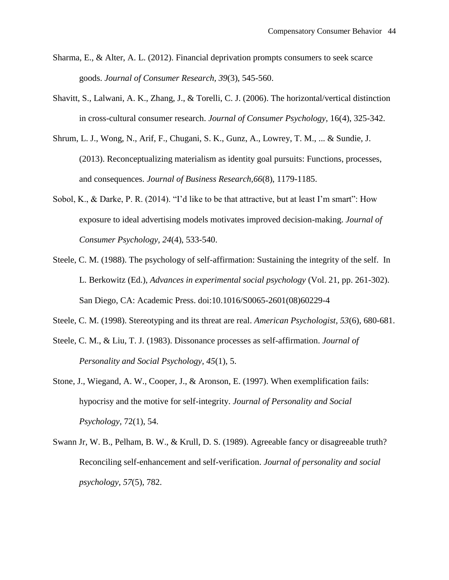- Sharma, E., & Alter, A. L. (2012). Financial deprivation prompts consumers to seek scarce goods. *Journal of Consumer Research, 39*(3), 545-560.
- Shavitt, S., Lalwani, A. K., Zhang, J., & Torelli, C. J. (2006). The horizontal/vertical distinction in cross-cultural consumer research. *Journal of Consumer Psychology,* 16(4), 325-342.
- Shrum, L. J., Wong, N., Arif, F., Chugani, S. K., Gunz, A., Lowrey, T. M., ... & Sundie, J. (2013). Reconceptualizing materialism as identity goal pursuits: Functions, processes, and consequences. *Journal of Business Research,66*(8), 1179-1185.
- Sobol, K., & Darke, P. R. (2014). "I'd like to be that attractive, but at least I'm smart": How exposure to ideal advertising models motivates improved decision-making. *Journal of Consumer Psychology, 24*(4), 533-540.
- Steele, C. M. (1988). The psychology of self-affirmation: Sustaining the integrity of the self. In L. Berkowitz (Ed.), *Advances in experimental social psychology* (Vol. 21, pp. 261-302). San Diego, CA: Academic Press. doi:10.1016/S0065-2601(08)60229-4
- Steele, C. M. (1998). Stereotyping and its threat are real. *American Psychologist, 53*(6), 680-681.
- Steele, C. M., & Liu, T. J. (1983). Dissonance processes as self-affirmation. *Journal of Personality and Social Psychology, 45*(1), 5.
- Stone, J., Wiegand, A. W., Cooper, J., & Aronson, E. (1997). When exemplification fails: hypocrisy and the motive for self-integrity. *Journal of Personality and Social Psychology,* 72(1), 54.
- Swann Jr, W. B., Pelham, B. W., & Krull, D. S. (1989). Agreeable fancy or disagreeable truth? Reconciling self-enhancement and self-verification. *Journal of personality and social psychology, 57*(5), 782.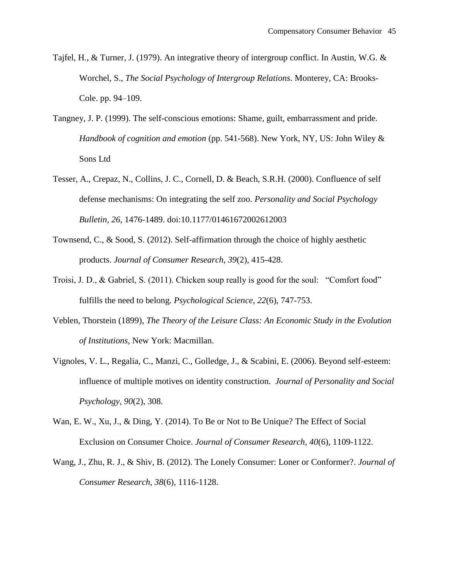- Tajfel, H., & Turner, J. (1979). An integrative theory of intergroup conflict. In Austin, W.G. & Worchel, S., *The Social Psychology of Intergroup Relations*. Monterey, CA: Brooks-Cole. pp. 94–109.
- Tangney, J. P. (1999). The self-conscious emotions: Shame, guilt, embarrassment and pride. *Handbook of cognition and emotion* (pp. 541-568). New York, NY, US: John Wiley & Sons Ltd
- Tesser, A., Crepaz, N., Collins, J. C., Cornell, D. & Beach, S.R.H. (2000). Confluence of self defense mechanisms: On integrating the self zoo. *Personality and Social Psychology Bulletin, 26*, 1476-1489. doi:10.1177/01461672002612003
- Townsend, C., & Sood, S. (2012). Self-affirmation through the choice of highly aesthetic products. *Journal of Consumer Research, 39*(2), 415-428.
- Troisi, J. D., & Gabriel, S. (2011). Chicken soup really is good for the soul: "Comfort food" fulfills the need to belong. *Psychological Science, 22*(6), 747-753.
- Veblen, Thorstein (1899), *The Theory of the Leisure Class: An Economic Study in the Evolution of Institutions*, New York: Macmillan.
- Vignoles, V. L., Regalia, C., Manzi, C., Golledge, J., & Scabini, E. (2006). Beyond self-esteem: influence of multiple motives on identity construction. *Journal of Personality and Social Psychology, 90*(2), 308.
- Wan, E. W., Xu, J., & Ding, Y. (2014). To Be or Not to Be Unique? The Effect of Social Exclusion on Consumer Choice. *Journal of Consumer Research, 40*(6), 1109-1122.
- Wang, J., Zhu, R. J., & Shiv, B. (2012). The Lonely Consumer: Loner or Conformer?. *Journal of Consumer Research, 38*(6), 1116-1128.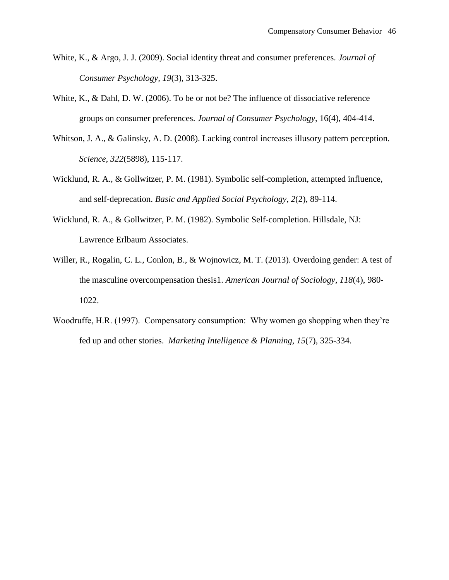- White, K., & Argo, J. J. (2009). Social identity threat and consumer preferences. *Journal of Consumer Psychology, 19*(3), 313-325.
- White, K., & Dahl, D. W. (2006). To be or not be? The influence of dissociative reference groups on consumer preferences. *Journal of Consumer Psychology,* 16(4), 404-414.
- Whitson, J. A., & Galinsky, A. D. (2008). Lacking control increases illusory pattern perception. *Science, 322*(5898), 115-117.
- Wicklund, R. A., & Gollwitzer, P. M. (1981). Symbolic self-completion, attempted influence, and self-deprecation. *Basic and Applied Social Psychology, 2*(2), 89-114.
- Wicklund, R. A., & Gollwitzer, P. M. (1982). Symbolic Self-completion. Hillsdale, NJ: Lawrence Erlbaum Associates.
- Willer, R., Rogalin, C. L., Conlon, B., & Wojnowicz, M. T. (2013). Overdoing gender: A test of the masculine overcompensation thesis1. *American Journal of Sociology, 118*(4), 980- 1022.
- Woodruffe, H.R. (1997). Compensatory consumption: Why women go shopping when they're fed up and other stories. *Marketing Intelligence & Planning, 15*(7), 325-334.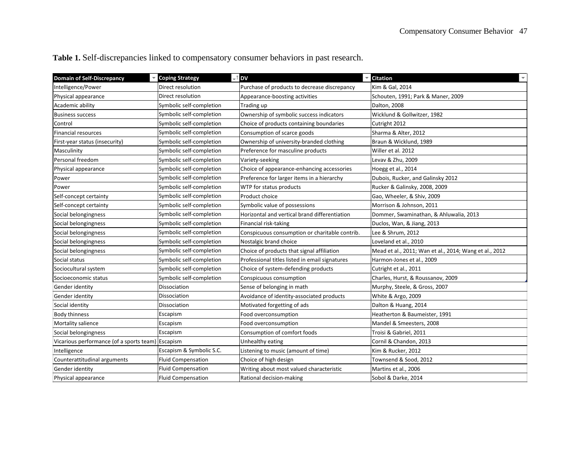| <b>Domain of Self-Discrepancy</b>                 | <b>Coping Strategy</b>    | <b>DV</b><br>$\overline{\phantom{0}}$          | <b>Citation</b>                                        |
|---------------------------------------------------|---------------------------|------------------------------------------------|--------------------------------------------------------|
| Intelligence/Power                                | Direct resolution         | Purchase of products to decrease discrepancy   | Kim & Gal, 2014                                        |
| Physical appearance                               | Direct resolution         | Appearance-boosting activities                 | Schouten, 1991; Park & Maner, 2009                     |
| Academic ability                                  | Symbolic self-completion  | Trading up                                     | Dalton, 2008                                           |
| Business success                                  | Symbolic self-completion  | Ownership of symbolic success indicators       | Wicklund & Gollwitzer, 1982                            |
| Control                                           | Symbolic self-completion  | Choice of products containing boundaries       | Cutright 2012                                          |
| <b>Financial resources</b>                        | Symbolic self-completion  | Consumption of scarce goods                    | Sharma & Alter, 2012                                   |
| First-year status (insecurity)                    | Symbolic self-completion  | Ownership of university-branded clothing       | Braun & Wicklund, 1989                                 |
| Masculinity                                       | Symbolic self-completion  | Preference for masculine products              | Willer et al. 2012                                     |
| Personal freedom                                  | Symbolic self-completion  | Variety-seeking                                | Levav & Zhu, 2009                                      |
| Physical appearance                               | Symbolic self-completion  | Choice of appearance-enhancing accessories     | Hoegg et al., 2014                                     |
| Power                                             | Symbolic self-completion  | Preference for larger items in a hierarchy     | Dubois, Rucker, and Galinsky 2012                      |
| Power                                             | Symbolic self-completion  | WTP for status products                        | Rucker & Galinsky, 2008, 2009                          |
| Self-concept certainty                            | Symbolic self-completion  | Product choice                                 | Gao, Wheeler, & Shiv, 2009                             |
| Self-concept certainty                            | Symbolic self-completion  | Symbolic value of possessions                  | Morrison & Johnson, 2011                               |
| Social belongingness                              | Symbolic self-completion  | Horizontal and vertical brand differentiation  | Dommer, Swaminathan, & Ahluwalia, 2013                 |
| Social belongingness                              | Symbolic self-completion  | Financial risk-taking                          | Duclos, Wan, & Jiang, 2013                             |
| Social belongingness                              | Symbolic self-completion  | Conspicuous consumption or charitable contrib. | Lee & Shrum, 2012                                      |
| Social belongingness                              | Symbolic self-completion  | Nostalgic brand choice                         | Loveland et al., 2010                                  |
| Social belongingness                              | Symbolic self-completion  | Choice of products that signal affiliation     | Mead et al., 2011; Wan et al., 2014; Wang et al., 2012 |
| Social status                                     | Symbolic self-completion  | Professional titles listed in email signatures | Harmon-Jones et al., 2009                              |
| Sociocultural system                              | Symbolic self-completion  | Choice of system-defending products            | Cutright et al., 2011                                  |
| Socioeconomic status                              | Symbolic self-completion  | Conspicuous consumption                        | Charles, Hurst, & Roussanov, 2009                      |
| Gender identity                                   | Dissociation              | Sense of belonging in math                     | Murphy, Steele, & Gross, 2007                          |
| Gender identity                                   | Dissociation              | Avoidance of identity-associated products      | White & Argo, 2009                                     |
| Social identity                                   | Dissociation              | Motivated forgetting of ads                    | Dalton & Huang, 2014                                   |
| Body thinness                                     | Escapism                  | Food overconsumption                           | Heatherton & Baumeister, 1991                          |
| Mortality salience                                | Escapism                  | Food overconsumption                           | Mandel & Smeesters, 2008                               |
| Social belongingness                              | Escapism                  | Consumption of comfort foods                   | Troisi & Gabriel, 2011                                 |
| Vicarious performance (of a sports team) Escapism |                           | Unhealthy eating                               | Cornil & Chandon, 2013                                 |
| Intelligence                                      | Escapism & Symbolic S.C.  | Listening to music (amount of time)            | Kim & Rucker, 2012                                     |
| Counterattitudinal arguments                      | <b>Fluid Compensation</b> | Choice of high design                          | Townsend & Sood, 2012                                  |
| Gender identity                                   | <b>Fluid Compensation</b> | Writing about most valued characteristic       | Martins et al., 2006                                   |
| Physical appearance                               | <b>Fluid Compensation</b> | Rational decision-making                       | Sobol & Darke, 2014                                    |

**Table 1.** Self-discrepancies linked to compensatory consumer behaviors in past research.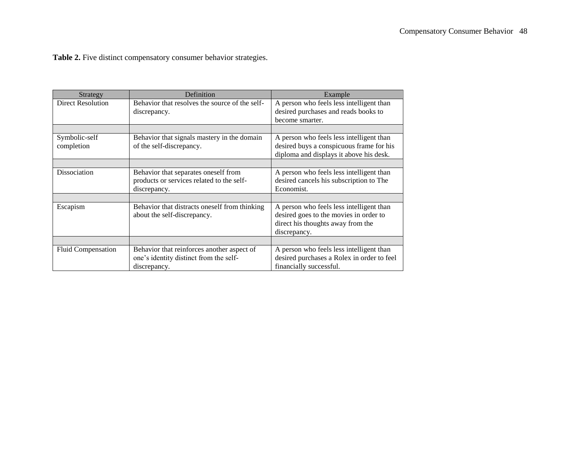Table 2. Five distinct compensatory consumer behavior strategies.

| Strategy                    | Definition                                                                                           | Example                                                                                                                                 |
|-----------------------------|------------------------------------------------------------------------------------------------------|-----------------------------------------------------------------------------------------------------------------------------------------|
| <b>Direct Resolution</b>    | Behavior that resolves the source of the self-<br>discrepancy.                                       | A person who feels less intelligent than<br>desired purchases and reads books to<br>become smarter.                                     |
|                             |                                                                                                      |                                                                                                                                         |
| Symbolic-self<br>completion | Behavior that signals mastery in the domain<br>of the self-discrepancy.                              | A person who feels less intelligent than<br>desired buys a conspicuous frame for his<br>diploma and displays it above his desk.         |
|                             |                                                                                                      |                                                                                                                                         |
| <b>Dissociation</b>         | Behavior that separates oneself from<br>products or services related to the self-<br>discrepancy.    | A person who feels less intelligent than<br>desired cancels his subscription to The<br>Economist.                                       |
|                             |                                                                                                      |                                                                                                                                         |
| Escapism                    | Behavior that distracts oneself from thinking<br>about the self-discrepancy.                         | A person who feels less intelligent than<br>desired goes to the movies in order to<br>direct his thoughts away from the<br>discrepancy. |
|                             |                                                                                                      |                                                                                                                                         |
| <b>Fluid Compensation</b>   | Behavior that reinforces another aspect of<br>one's identity distinct from the self-<br>discrepancy. | A person who feels less intelligent than<br>desired purchases a Rolex in order to feel<br>financially successful.                       |